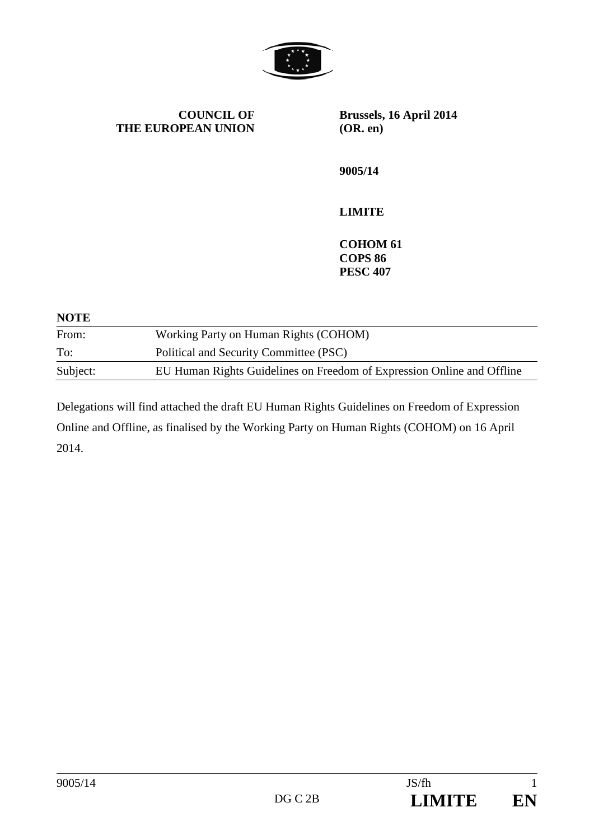

**COUNCIL OF THE EUROPEAN UNION** **Brussels, 16 April 2014 (OR. en)** 

**9005/14** 

# **LIMITE**

**COHOM 61 COPS 86 PESC 407** 

#### **NOTE**

| From:    | Working Party on Human Rights (COHOM)                                  |
|----------|------------------------------------------------------------------------|
| To:      | Political and Security Committee (PSC)                                 |
| Subject: | EU Human Rights Guidelines on Freedom of Expression Online and Offline |

Delegations will find attached the draft EU Human Rights Guidelines on Freedom of Expression Online and Offline, as finalised by the Working Party on Human Rights (COHOM) on 16 April 2014.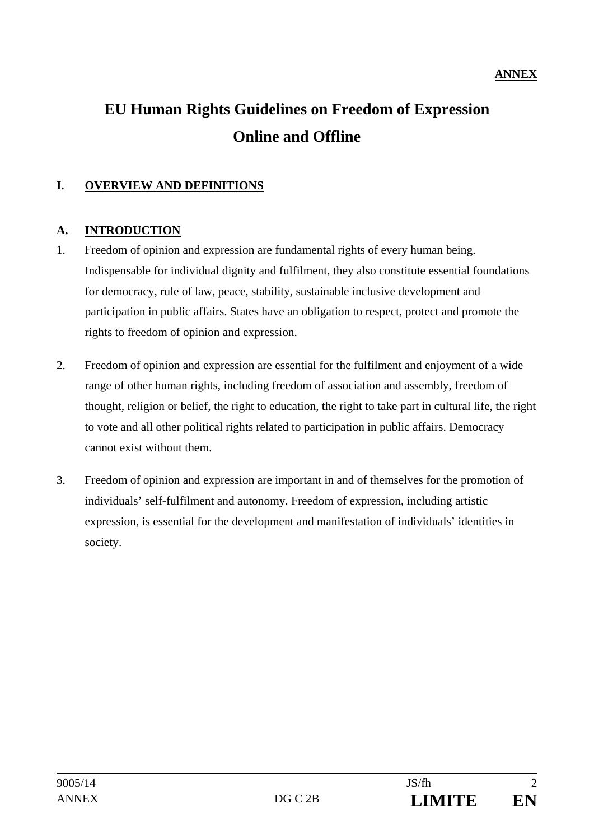# **EU Human Rights Guidelines on Freedom of Expression Online and Offline**

## **I. OVERVIEW AND DEFINITIONS**

#### **A. INTRODUCTION**

- 1. Freedom of opinion and expression are fundamental rights of every human being. Indispensable for individual dignity and fulfilment, they also constitute essential foundations for democracy, rule of law, peace, stability, sustainable inclusive development and participation in public affairs. States have an obligation to respect, protect and promote the rights to freedom of opinion and expression.
- 2. Freedom of opinion and expression are essential for the fulfilment and enjoyment of a wide range of other human rights, including freedom of association and assembly, freedom of thought, religion or belief, the right to education, the right to take part in cultural life, the right to vote and all other political rights related to participation in public affairs. Democracy cannot exist without them.
- 3. Freedom of opinion and expression are important in and of themselves for the promotion of individuals' self-fulfilment and autonomy. Freedom of expression, including artistic expression, is essential for the development and manifestation of individuals' identities in society.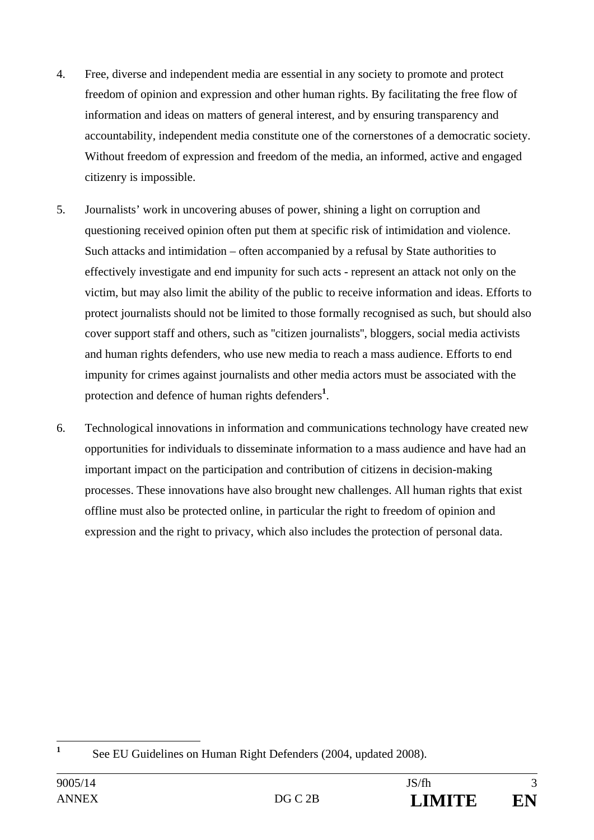- 4. Free, diverse and independent media are essential in any society to promote and protect freedom of opinion and expression and other human rights. By facilitating the free flow of information and ideas on matters of general interest, and by ensuring transparency and accountability, independent media constitute one of the cornerstones of a democratic society. Without freedom of expression and freedom of the media, an informed, active and engaged citizenry is impossible.
- 5. Journalists' work in uncovering abuses of power, shining a light on corruption and questioning received opinion often put them at specific risk of intimidation and violence. Such attacks and intimidation – often accompanied by a refusal by State authorities to effectively investigate and end impunity for such acts - represent an attack not only on the victim, but may also limit the ability of the public to receive information and ideas. Efforts to protect journalists should not be limited to those formally recognised as such, but should also cover support staff and others, such as ''citizen journalists'', bloggers, social media activists and human rights defenders, who use new media to reach a mass audience. Efforts to end impunity for crimes against journalists and other media actors must be associated with the protection and defence of human rights defenders**<sup>1</sup>** .
- 6. Technological innovations in information and communications technology have created new opportunities for individuals to disseminate information to a mass audience and have had an important impact on the participation and contribution of citizens in decision-making processes. These innovations have also brought new challenges. All human rights that exist offline must also be protected online, in particular the right to freedom of opinion and expression and the right to privacy, which also includes the protection of personal data.

 **1** See EU Guidelines on Human Right Defenders (2004, updated 2008).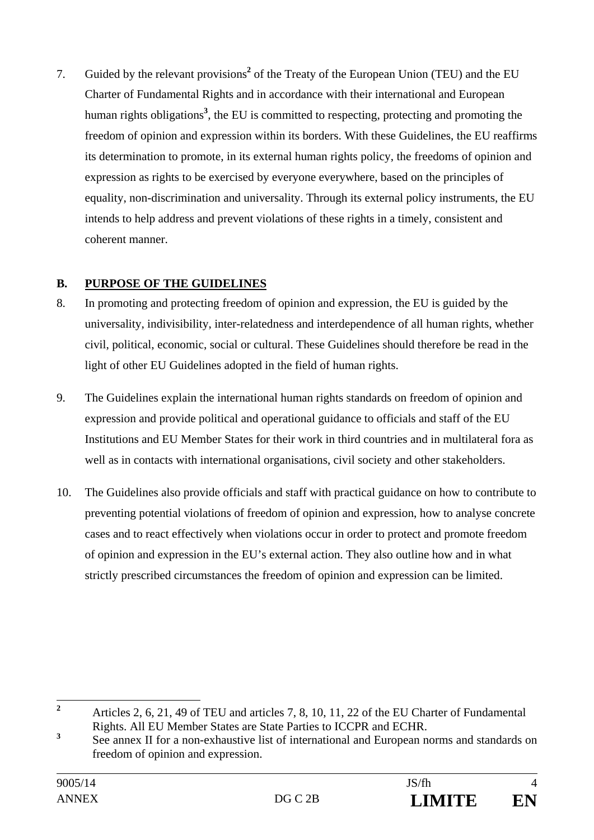7. Guided by the relevant provisions<sup>2</sup> of the Treaty of the European Union (TEU) and the EU Charter of Fundamental Rights and in accordance with their international and European human rights obligations**<sup>3</sup>** , the EU is committed to respecting, protecting and promoting the freedom of opinion and expression within its borders. With these Guidelines, the EU reaffirms its determination to promote, in its external human rights policy, the freedoms of opinion and expression as rights to be exercised by everyone everywhere, based on the principles of equality, non-discrimination and universality. Through its external policy instruments, the EU intends to help address and prevent violations of these rights in a timely, consistent and coherent manner.

# **B. PURPOSE OF THE GUIDELINES**

- 8. In promoting and protecting freedom of opinion and expression, the EU is guided by the universality, indivisibility, inter-relatedness and interdependence of all human rights, whether civil, political, economic, social or cultural. These Guidelines should therefore be read in the light of other EU Guidelines adopted in the field of human rights.
- 9. The Guidelines explain the international human rights standards on freedom of opinion and expression and provide political and operational guidance to officials and staff of the EU Institutions and EU Member States for their work in third countries and in multilateral fora as well as in contacts with international organisations, civil society and other stakeholders.
- 10. The Guidelines also provide officials and staff with practical guidance on how to contribute to preventing potential violations of freedom of opinion and expression, how to analyse concrete cases and to react effectively when violations occur in order to protect and promote freedom of opinion and expression in the EU's external action. They also outline how and in what strictly prescribed circumstances the freedom of opinion and expression can be limited.

 **2** Articles 2, 6, 21, 49 of TEU and articles 7, 8, 10, 11, 22 of the EU Charter of Fundamental Rights. All EU Member States are State Parties to ICCPR and ECHR.

**<sup>3</sup>** See annex II for a non-exhaustive list of international and European norms and standards on freedom of opinion and expression.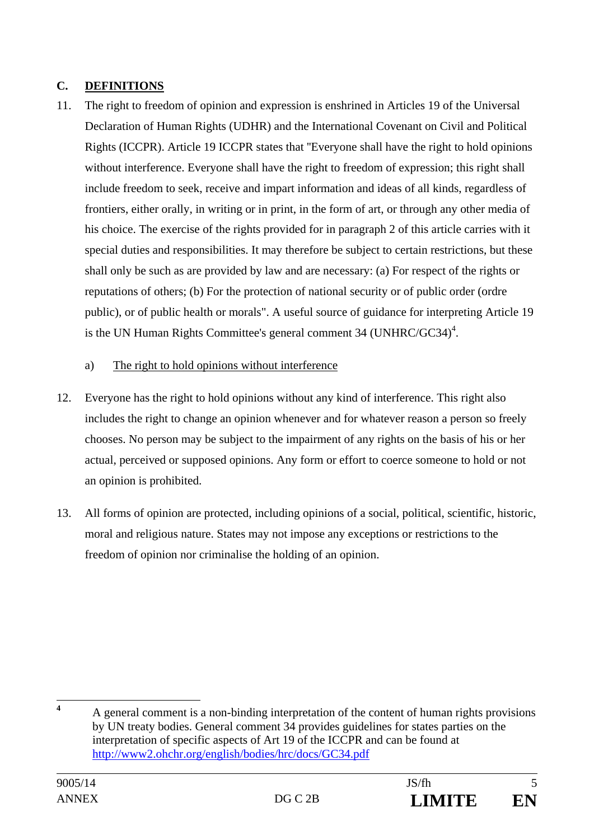# **C. DEFINITIONS**

- 11. The right to freedom of opinion and expression is enshrined in Articles 19 of the Universal Declaration of Human Rights (UDHR) and the International Covenant on Civil and Political Rights (ICCPR). Article 19 ICCPR states that ''Everyone shall have the right to hold opinions without interference. Everyone shall have the right to freedom of expression; this right shall include freedom to seek, receive and impart information and ideas of all kinds, regardless of frontiers, either orally, in writing or in print, in the form of art, or through any other media of his choice. The exercise of the rights provided for in paragraph 2 of this article carries with it special duties and responsibilities. It may therefore be subject to certain restrictions, but these shall only be such as are provided by law and are necessary: (a) For respect of the rights or reputations of others; (b) For the protection of national security or of public order (ordre public), or of public health or morals". A useful source of guidance for interpreting Article 19 is the UN Human Rights Committee's general comment 34 (UNHRC/GC34) $<sup>4</sup>$ .</sup>
	- a) The right to hold opinions without interference
- 12. Everyone has the right to hold opinions without any kind of interference. This right also includes the right to change an opinion whenever and for whatever reason a person so freely chooses. No person may be subject to the impairment of any rights on the basis of his or her actual, perceived or supposed opinions. Any form or effort to coerce someone to hold or not an opinion is prohibited.
- 13. All forms of opinion are protected, including opinions of a social, political, scientific, historic, moral and religious nature. States may not impose any exceptions or restrictions to the freedom of opinion nor criminalise the holding of an opinion.

 **4** A general comment is a non-binding interpretation of the content of human rights provisions by UN treaty bodies. General comment 34 provides guidelines for states parties on the interpretation of specific aspects of Art 19 of the ICCPR and can be found at http://www2.ohchr.org/english/bodies/hrc/docs/GC34.pdf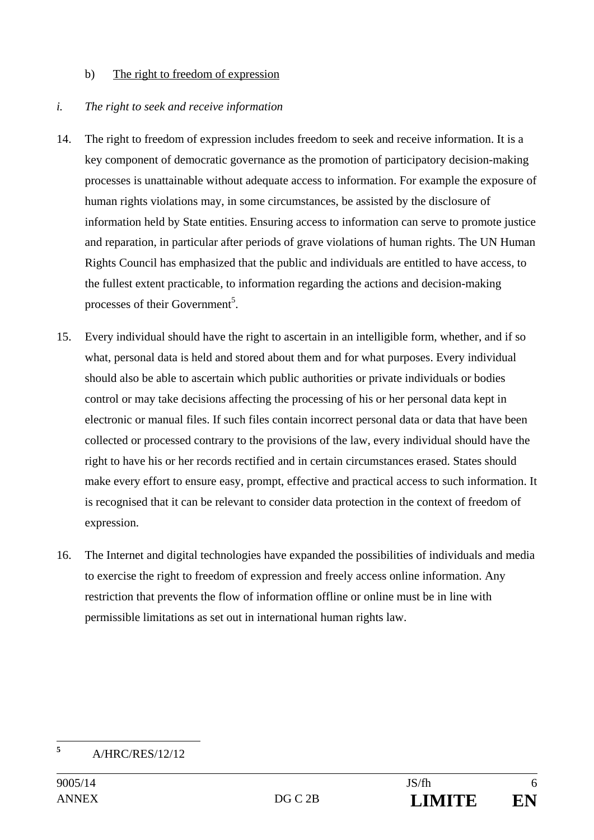#### b) The right to freedom of expression

#### *i. The right to seek and receive information*

- 14. The right to freedom of expression includes freedom to seek and receive information. It is a key component of democratic governance as the promotion of participatory decision-making processes is unattainable without adequate access to information. For example the exposure of human rights violations may, in some circumstances, be assisted by the disclosure of information held by State entities. Ensuring access to information can serve to promote justice and reparation, in particular after periods of grave violations of human rights. The UN Human Rights Council has emphasized that the public and individuals are entitled to have access, to the fullest extent practicable, to information regarding the actions and decision-making processes of their Government<sup>5</sup>.
- 15. Every individual should have the right to ascertain in an intelligible form, whether, and if so what, personal data is held and stored about them and for what purposes. Every individual should also be able to ascertain which public authorities or private individuals or bodies control or may take decisions affecting the processing of his or her personal data kept in electronic or manual files. If such files contain incorrect personal data or data that have been collected or processed contrary to the provisions of the law, every individual should have the right to have his or her records rectified and in certain circumstances erased. States should make every effort to ensure easy, prompt, effective and practical access to such information. It is recognised that it can be relevant to consider data protection in the context of freedom of expression.
- 16. The Internet and digital technologies have expanded the possibilities of individuals and media to exercise the right to freedom of expression and freely access online information. Any restriction that prevents the flow of information offline or online must be in line with permissible limitations as set out in international human rights law.

 **5** A/HRC/RES/12/12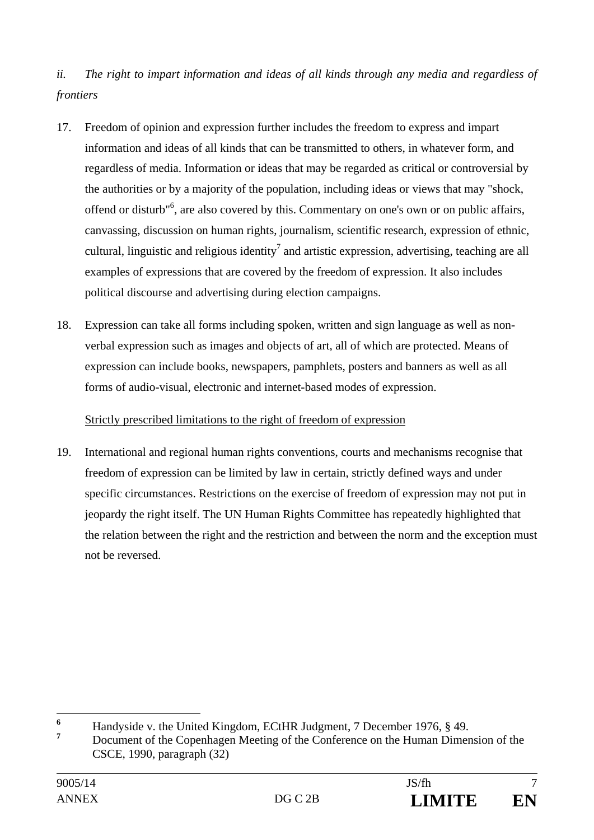*ii. The right to impart information and ideas of all kinds through any media and regardless of frontiers* 

- 17. Freedom of opinion and expression further includes the freedom to express and impart information and ideas of all kinds that can be transmitted to others, in whatever form, and regardless of media. Information or ideas that may be regarded as critical or controversial by the authorities or by a majority of the population, including ideas or views that may "shock, offend or disturb<sup>"6</sup>, are also covered by this. Commentary on one's own or on public affairs, canvassing, discussion on human rights, journalism, scientific research, expression of ethnic, cultural, linguistic and religious identity<sup>7</sup> and artistic expression, advertising, teaching are all examples of expressions that are covered by the freedom of expression. It also includes political discourse and advertising during election campaigns.
- 18. Expression can take all forms including spoken, written and sign language as well as nonverbal expression such as images and objects of art, all of which are protected. Means of expression can include books, newspapers, pamphlets, posters and banners as well as all forms of audio-visual, electronic and internet-based modes of expression.

# Strictly prescribed limitations to the right of freedom of expression

19. International and regional human rights conventions, courts and mechanisms recognise that freedom of expression can be limited by law in certain, strictly defined ways and under specific circumstances. Restrictions on the exercise of freedom of expression may not put in jeopardy the right itself. The UN Human Rights Committee has repeatedly highlighted that the relation between the right and the restriction and between the norm and the exception must not be reversed.

 $\overline{a}$ **6** Handyside v. the United Kingdom, ECtHR Judgment, 7 December 1976, § 49.

**<sup>7</sup>** Document of the Copenhagen Meeting of the Conference on the Human Dimension of the CSCE, 1990, paragraph (32)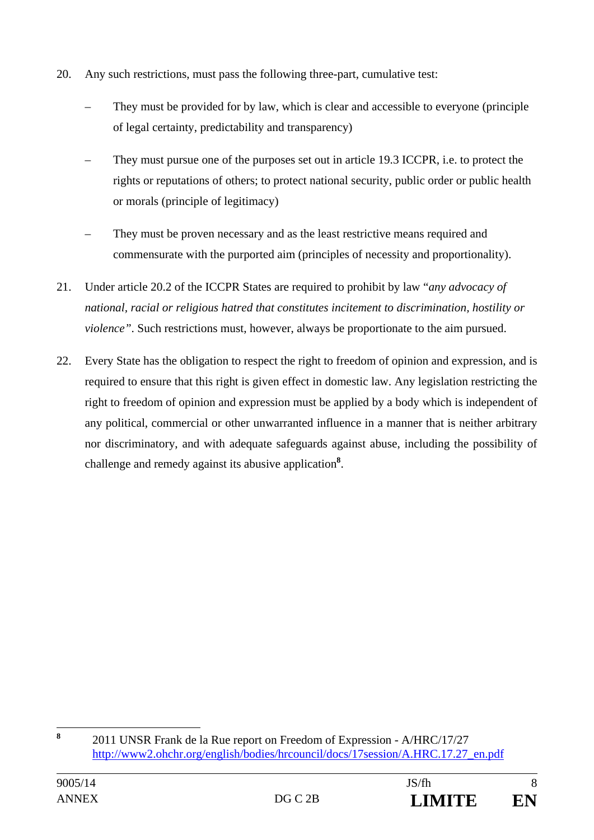- 20. Any such restrictions, must pass the following three-part, cumulative test:
	- They must be provided for by law, which is clear and accessible to everyone (principle of legal certainty, predictability and transparency)
	- They must pursue one of the purposes set out in article 19.3 ICCPR, i.e. to protect the rights or reputations of others; to protect national security, public order or public health or morals (principle of legitimacy)
	- They must be proven necessary and as the least restrictive means required and commensurate with the purported aim (principles of necessity and proportionality).
- 21. Under article 20.2 of the ICCPR States are required to prohibit by law "*any advocacy of national, racial or religious hatred that constitutes incitement to discrimination, hostility or violence"*. Such restrictions must, however, always be proportionate to the aim pursued.
- 22. Every State has the obligation to respect the right to freedom of opinion and expression, and is required to ensure that this right is given effect in domestic law. Any legislation restricting the right to freedom of opinion and expression must be applied by a body which is independent of any political, commercial or other unwarranted influence in a manner that is neither arbitrary nor discriminatory, and with adequate safeguards against abuse, including the possibility of challenge and remedy against its abusive application**<sup>8</sup>** .

 **8** 2011 UNSR Frank de la Rue report on Freedom of Expression - A/HRC/17/27 http://www2.ohchr.org/english/bodies/hrcouncil/docs/17session/A.HRC.17.27\_en.pdf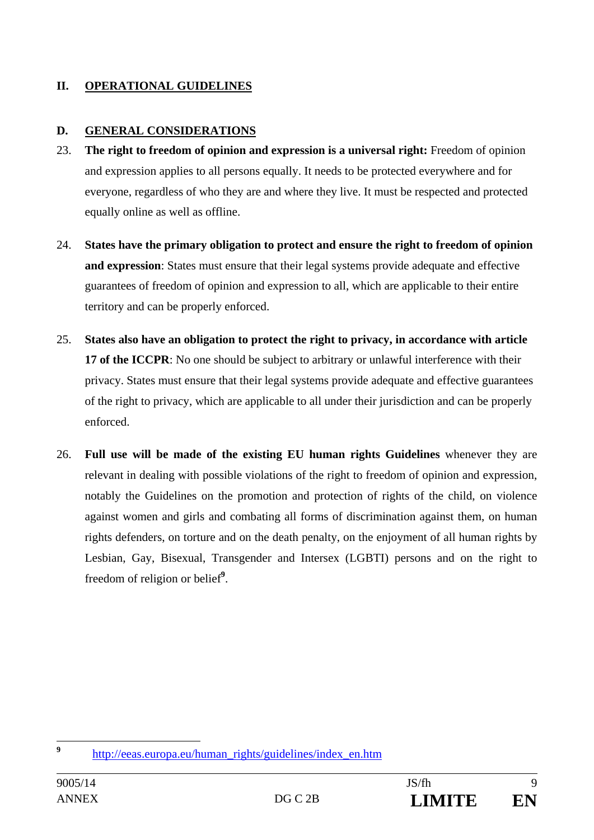### **II. OPERATIONAL GUIDELINES**

#### **D. GENERAL CONSIDERATIONS**

- 23. **The right to freedom of opinion and expression is a universal right:** Freedom of opinion and expression applies to all persons equally. It needs to be protected everywhere and for everyone, regardless of who they are and where they live. It must be respected and protected equally online as well as offline.
- 24. **States have the primary obligation to protect and ensure the right to freedom of opinion and expression**: States must ensure that their legal systems provide adequate and effective guarantees of freedom of opinion and expression to all, which are applicable to their entire territory and can be properly enforced.
- 25. **States also have an obligation to protect the right to privacy, in accordance with article 17 of the ICCPR**: No one should be subject to arbitrary or unlawful interference with their privacy. States must ensure that their legal systems provide adequate and effective guarantees of the right to privacy, which are applicable to all under their jurisdiction and can be properly enforced.
- 26. **Full use will be made of the existing EU human rights Guidelines** whenever they are relevant in dealing with possible violations of the right to freedom of opinion and expression, notably the Guidelines on the promotion and protection of rights of the child, on violence against women and girls and combating all forms of discrimination against them, on human rights defenders, on torture and on the death penalty, on the enjoyment of all human rights by Lesbian, Gay, Bisexual, Transgender and Intersex (LGBTI) persons and on the right to freedom of religion or belief**<sup>9</sup>** .

 $\overline{9}$ **<sup>9</sup>** http://eeas.europa.eu/human\_rights/guidelines/index\_en.htm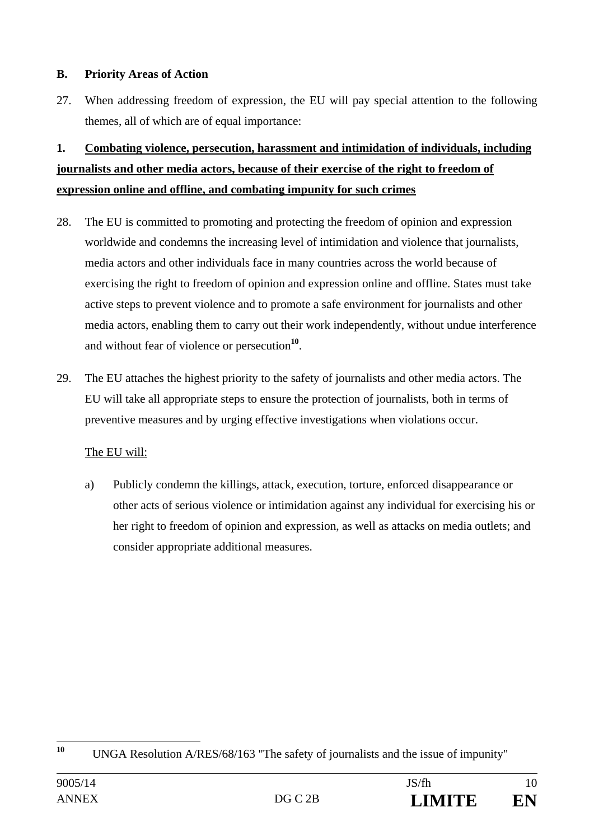#### **B. Priority Areas of Action**

27. When addressing freedom of expression, the EU will pay special attention to the following themes, all of which are of equal importance:

# **1. Combating violence, persecution, harassment and intimidation of individuals, including journalists and other media actors, because of their exercise of the right to freedom of expression online and offline, and combating impunity for such crimes**

- 28. The EU is committed to promoting and protecting the freedom of opinion and expression worldwide and condemns the increasing level of intimidation and violence that journalists, media actors and other individuals face in many countries across the world because of exercising the right to freedom of opinion and expression online and offline. States must take active steps to prevent violence and to promote a safe environment for journalists and other media actors, enabling them to carry out their work independently, without undue interference and without fear of violence or persecution**<sup>10</sup>**.
- 29. The EU attaches the highest priority to the safety of journalists and other media actors. The EU will take all appropriate steps to ensure the protection of journalists, both in terms of preventive measures and by urging effective investigations when violations occur.

# The EU will:

a) Publicly condemn the killings, attack, execution, torture, enforced disappearance or other acts of serious violence or intimidation against any individual for exercising his or her right to freedom of opinion and expression, as well as attacks on media outlets; and consider appropriate additional measures.

 $10$ **<sup>10</sup>** UNGA Resolution A/RES/68/163 "The safety of journalists and the issue of impunity"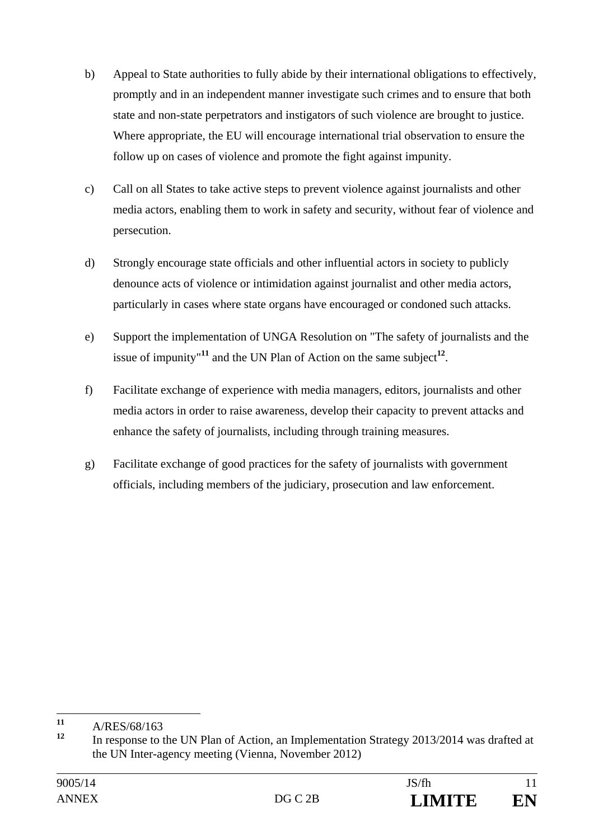- b) Appeal to State authorities to fully abide by their international obligations to effectively, promptly and in an independent manner investigate such crimes and to ensure that both state and non-state perpetrators and instigators of such violence are brought to justice. Where appropriate, the EU will encourage international trial observation to ensure the follow up on cases of violence and promote the fight against impunity.
- c) Call on all States to take active steps to prevent violence against journalists and other media actors, enabling them to work in safety and security, without fear of violence and persecution.
- d) Strongly encourage state officials and other influential actors in society to publicly denounce acts of violence or intimidation against journalist and other media actors, particularly in cases where state organs have encouraged or condoned such attacks.
- e) Support the implementation of UNGA Resolution on "The safety of journalists and the issue of impunity<sup>"11</sup> and the UN Plan of Action on the same subject<sup>12</sup>.
- f) Facilitate exchange of experience with media managers, editors, journalists and other media actors in order to raise awareness, develop their capacity to prevent attacks and enhance the safety of journalists, including through training measures.
- g) Facilitate exchange of good practices for the safety of journalists with government officials, including members of the judiciary, prosecution and law enforcement.

 $11$  $\frac{11}{12}$  A/RES/68/163

**<sup>12</sup>** In response to the UN Plan of Action, an Implementation Strategy 2013/2014 was drafted at the UN Inter-agency meeting (Vienna, November 2012)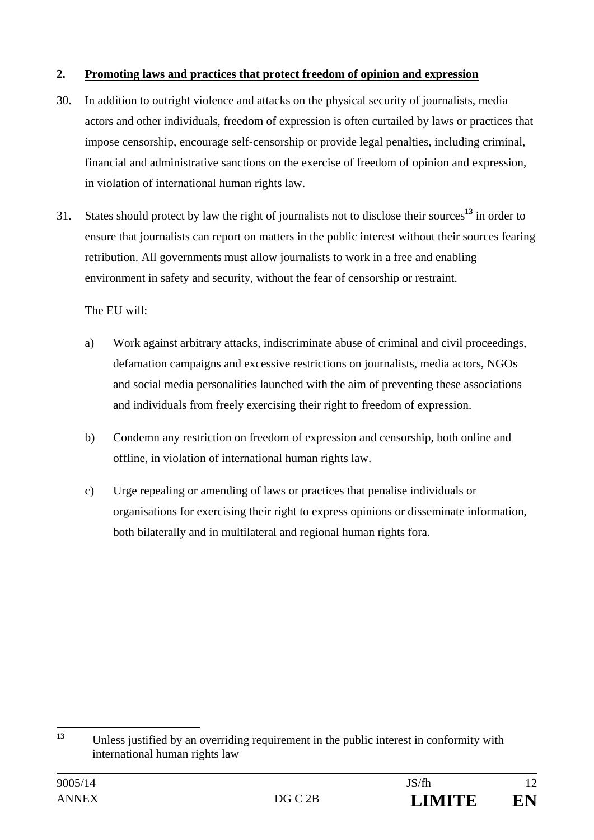### **2. Promoting laws and practices that protect freedom of opinion and expression**

- 30. In addition to outright violence and attacks on the physical security of journalists, media actors and other individuals, freedom of expression is often curtailed by laws or practices that impose censorship, encourage self-censorship or provide legal penalties, including criminal, financial and administrative sanctions on the exercise of freedom of opinion and expression, in violation of international human rights law.
- 31. States should protect by law the right of journalists not to disclose their sources**<sup>13</sup>** in order to ensure that journalists can report on matters in the public interest without their sources fearing retribution. All governments must allow journalists to work in a free and enabling environment in safety and security, without the fear of censorship or restraint.

- a) Work against arbitrary attacks, indiscriminate abuse of criminal and civil proceedings, defamation campaigns and excessive restrictions on journalists, media actors, NGOs and social media personalities launched with the aim of preventing these associations and individuals from freely exercising their right to freedom of expression.
- b) Condemn any restriction on freedom of expression and censorship, both online and offline, in violation of international human rights law.
- c) Urge repealing or amending of laws or practices that penalise individuals or organisations for exercising their right to express opinions or disseminate information, both bilaterally and in multilateral and regional human rights fora.

 $13$ **<sup>13</sup>** Unless justified by an overriding requirement in the public interest in conformity with international human rights law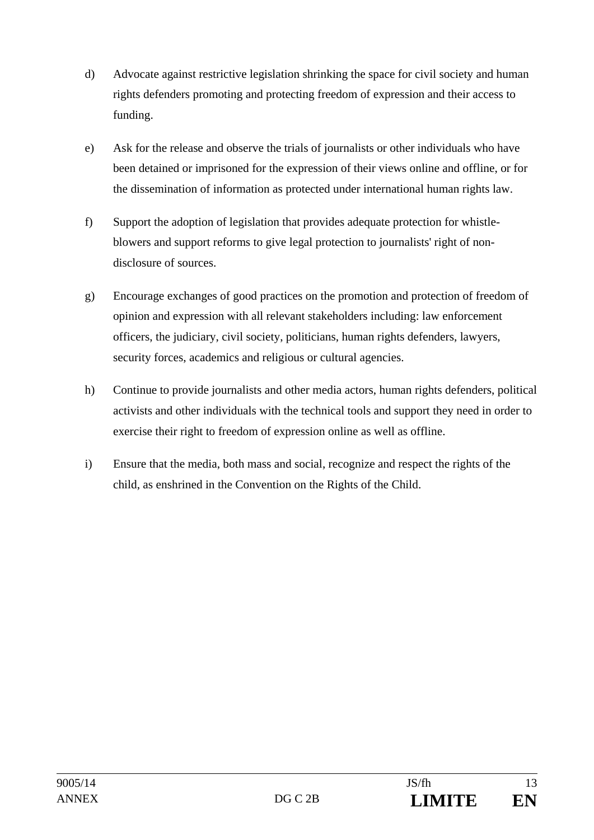- d) Advocate against restrictive legislation shrinking the space for civil society and human rights defenders promoting and protecting freedom of expression and their access to funding.
- e) Ask for the release and observe the trials of journalists or other individuals who have been detained or imprisoned for the expression of their views online and offline, or for the dissemination of information as protected under international human rights law.
- f) Support the adoption of legislation that provides adequate protection for whistleblowers and support reforms to give legal protection to journalists' right of nondisclosure of sources.
- g) Encourage exchanges of good practices on the promotion and protection of freedom of opinion and expression with all relevant stakeholders including: law enforcement officers, the judiciary, civil society, politicians, human rights defenders, lawyers, security forces, academics and religious or cultural agencies.
- h) Continue to provide journalists and other media actors, human rights defenders, political activists and other individuals with the technical tools and support they need in order to exercise their right to freedom of expression online as well as offline.
- i) Ensure that the media, both mass and social, recognize and respect the rights of the child, as enshrined in the Convention on the Rights of the Child.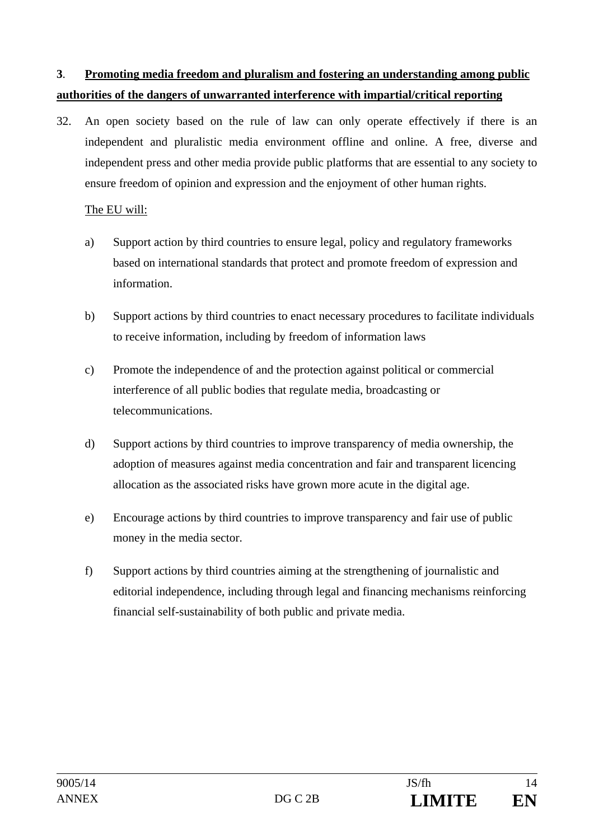# **3**. **Promoting media freedom and pluralism and fostering an understanding among public authorities of the dangers of unwarranted interference with impartial/critical reporting**

32. An open society based on the rule of law can only operate effectively if there is an independent and pluralistic media environment offline and online. A free, diverse and independent press and other media provide public platforms that are essential to any society to ensure freedom of opinion and expression and the enjoyment of other human rights.

- a) Support action by third countries to ensure legal, policy and regulatory frameworks based on international standards that protect and promote freedom of expression and information.
- b) Support actions by third countries to enact necessary procedures to facilitate individuals to receive information, including by freedom of information laws
- c) Promote the independence of and the protection against political or commercial interference of all public bodies that regulate media, broadcasting or telecommunications.
- d) Support actions by third countries to improve transparency of media ownership, the adoption of measures against media concentration and fair and transparent licencing allocation as the associated risks have grown more acute in the digital age.
- e) Encourage actions by third countries to improve transparency and fair use of public money in the media sector.
- f) Support actions by third countries aiming at the strengthening of journalistic and editorial independence, including through legal and financing mechanisms reinforcing financial self-sustainability of both public and private media.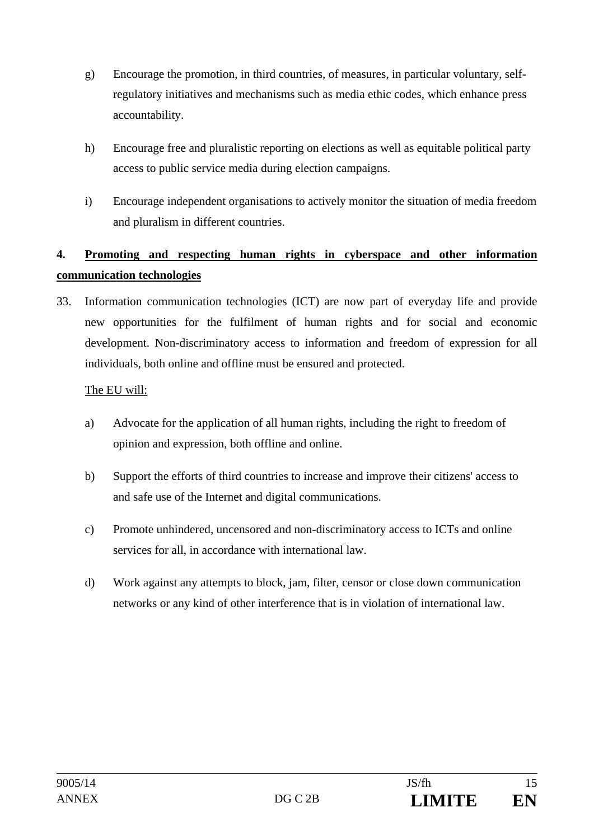- g) Encourage the promotion, in third countries, of measures, in particular voluntary, selfregulatory initiatives and mechanisms such as media ethic codes, which enhance press accountability.
- h) Encourage free and pluralistic reporting on elections as well as equitable political party access to public service media during election campaigns.
- i) Encourage independent organisations to actively monitor the situation of media freedom and pluralism in different countries.

# **4. Promoting and respecting human rights in cyberspace and other information communication technologies**

33. Information communication technologies (ICT) are now part of everyday life and provide new opportunities for the fulfilment of human rights and for social and economic development. Non-discriminatory access to information and freedom of expression for all individuals, both online and offline must be ensured and protected.

- a) Advocate for the application of all human rights, including the right to freedom of opinion and expression, both offline and online.
- b) Support the efforts of third countries to increase and improve their citizens' access to and safe use of the Internet and digital communications.
- c) Promote unhindered, uncensored and non-discriminatory access to ICTs and online services for all, in accordance with international law.
- d) Work against any attempts to block, jam, filter, censor or close down communication networks or any kind of other interference that is in violation of international law.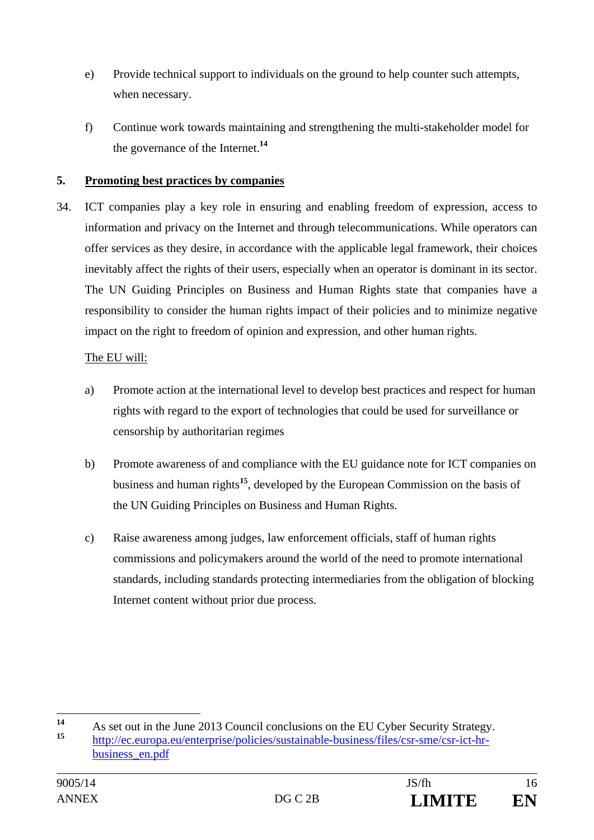- e) Provide technical support to individuals on the ground to help counter such attempts, when necessary.
- f) Continue work towards maintaining and strengthening the multi-stakeholder model for the governance of the Internet.**<sup>14</sup>**

### **5. Promoting best practices by companies**

34. ICT companies play a key role in ensuring and enabling freedom of expression, access to information and privacy on the Internet and through telecommunications. While operators can offer services as they desire, in accordance with the applicable legal framework, their choices inevitably affect the rights of their users, especially when an operator is dominant in its sector. The UN Guiding Principles on Business and Human Rights state that companies have a responsibility to consider the human rights impact of their policies and to minimize negative impact on the right to freedom of opinion and expression, and other human rights.

- a) Promote action at the international level to develop best practices and respect for human rights with regard to the export of technologies that could be used for surveillance or censorship by authoritarian regimes
- b) Promote awareness of and compliance with the EU guidance note for ICT companies on business and human rights**<sup>15</sup>**, developed by the European Commission on the basis of the UN Guiding Principles on Business and Human Rights.
- c) Raise awareness among judges, law enforcement officials, staff of human rights commissions and policymakers around the world of the need to promote international standards, including standards protecting intermediaries from the obligation of blocking Internet content without prior due process.

 $14$ **14** As set out in the June 2013 Council conclusions on the EU Cyber Security Strategy. **<sup>15</sup>** http://ec.europa.eu/enterprise/policies/sustainable-business/files/csr-sme/csr-ict-hrbusiness\_en.pdf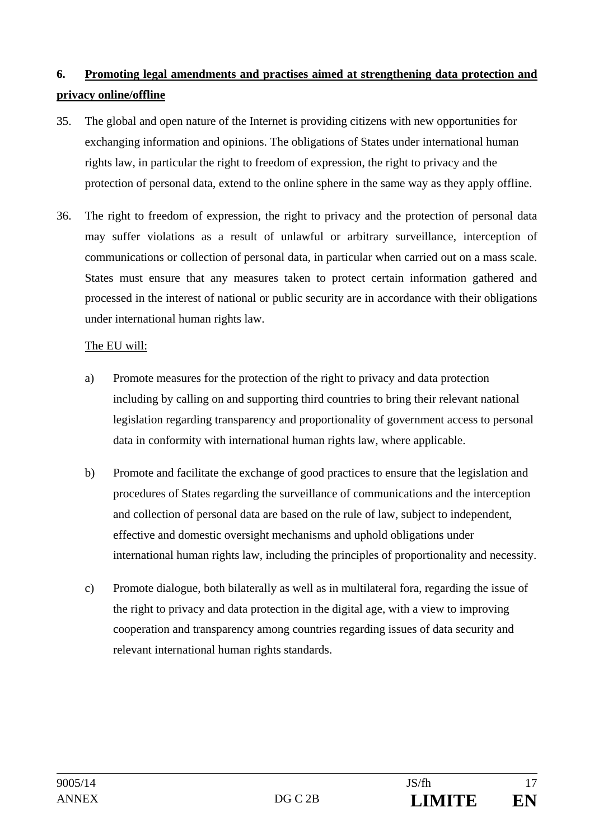# **6. Promoting legal amendments and practises aimed at strengthening data protection and privacy online/offline**

- 35. The global and open nature of the Internet is providing citizens with new opportunities for exchanging information and opinions. The obligations of States under international human rights law, in particular the right to freedom of expression, the right to privacy and the protection of personal data, extend to the online sphere in the same way as they apply offline.
- 36. The right to freedom of expression, the right to privacy and the protection of personal data may suffer violations as a result of unlawful or arbitrary surveillance, interception of communications or collection of personal data, in particular when carried out on a mass scale. States must ensure that any measures taken to protect certain information gathered and processed in the interest of national or public security are in accordance with their obligations under international human rights law.

- a) Promote measures for the protection of the right to privacy and data protection including by calling on and supporting third countries to bring their relevant national legislation regarding transparency and proportionality of government access to personal data in conformity with international human rights law, where applicable.
- b) Promote and facilitate the exchange of good practices to ensure that the legislation and procedures of States regarding the surveillance of communications and the interception and collection of personal data are based on the rule of law, subject to independent, effective and domestic oversight mechanisms and uphold obligations under international human rights law, including the principles of proportionality and necessity.
- c) Promote dialogue, both bilaterally as well as in multilateral fora, regarding the issue of the right to privacy and data protection in the digital age, with a view to improving cooperation and transparency among countries regarding issues of data security and relevant international human rights standards.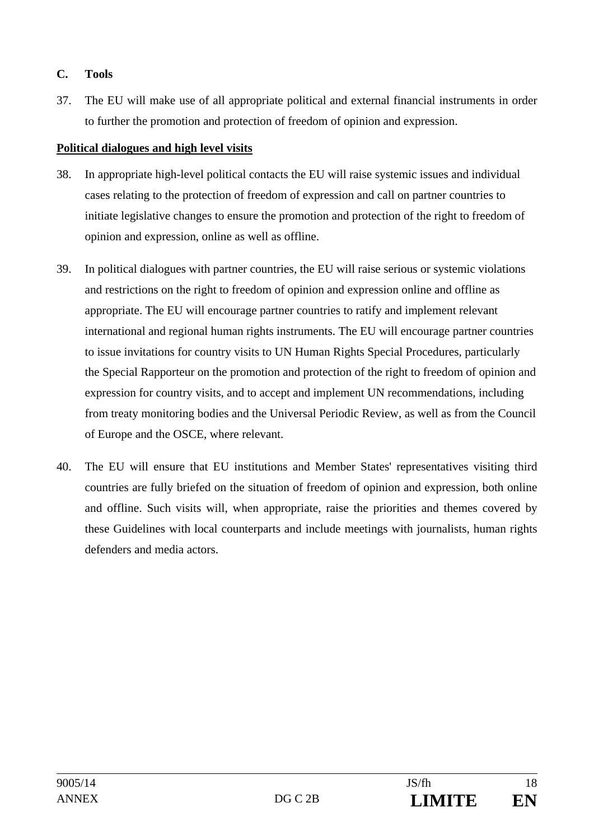#### **C. Tools**

37. The EU will make use of all appropriate political and external financial instruments in order to further the promotion and protection of freedom of opinion and expression.

#### **Political dialogues and high level visits**

- 38. In appropriate high-level political contacts the EU will raise systemic issues and individual cases relating to the protection of freedom of expression and call on partner countries to initiate legislative changes to ensure the promotion and protection of the right to freedom of opinion and expression, online as well as offline.
- 39. In political dialogues with partner countries, the EU will raise serious or systemic violations and restrictions on the right to freedom of opinion and expression online and offline as appropriate. The EU will encourage partner countries to ratify and implement relevant international and regional human rights instruments. The EU will encourage partner countries to issue invitations for country visits to UN Human Rights Special Procedures, particularly the Special Rapporteur on the promotion and protection of the right to freedom of opinion and expression for country visits, and to accept and implement UN recommendations, including from treaty monitoring bodies and the Universal Periodic Review, as well as from the Council of Europe and the OSCE, where relevant.
- 40. The EU will ensure that EU institutions and Member States' representatives visiting third countries are fully briefed on the situation of freedom of opinion and expression, both online and offline. Such visits will, when appropriate, raise the priorities and themes covered by these Guidelines with local counterparts and include meetings with journalists, human rights defenders and media actors.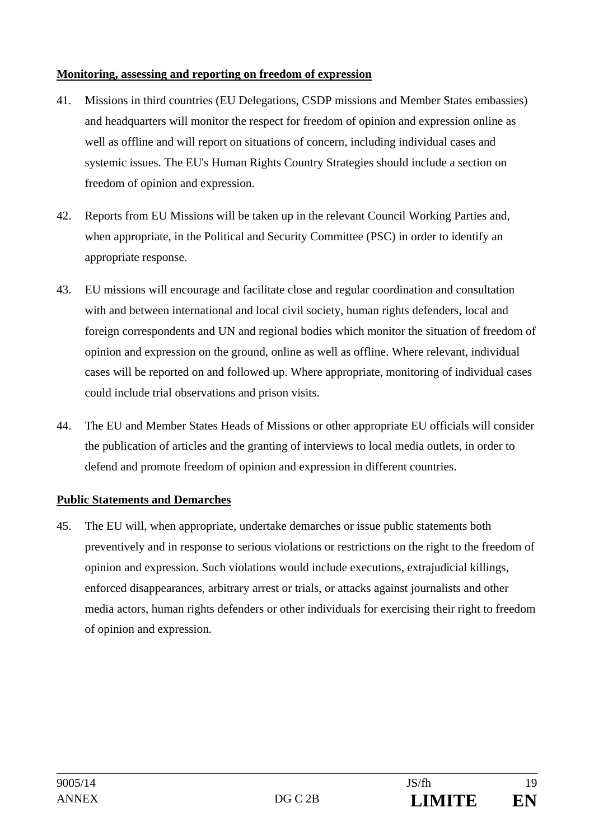#### **Monitoring, assessing and reporting on freedom of expression**

- 41. Missions in third countries (EU Delegations, CSDP missions and Member States embassies) and headquarters will monitor the respect for freedom of opinion and expression online as well as offline and will report on situations of concern, including individual cases and systemic issues. The EU's Human Rights Country Strategies should include a section on freedom of opinion and expression.
- 42. Reports from EU Missions will be taken up in the relevant Council Working Parties and, when appropriate, in the Political and Security Committee (PSC) in order to identify an appropriate response.
- 43. EU missions will encourage and facilitate close and regular coordination and consultation with and between international and local civil society, human rights defenders, local and foreign correspondents and UN and regional bodies which monitor the situation of freedom of opinion and expression on the ground, online as well as offline. Where relevant, individual cases will be reported on and followed up. Where appropriate, monitoring of individual cases could include trial observations and prison visits.
- 44. The EU and Member States Heads of Missions or other appropriate EU officials will consider the publication of articles and the granting of interviews to local media outlets, in order to defend and promote freedom of opinion and expression in different countries.

# **Public Statements and Demarches**

45. The EU will, when appropriate, undertake demarches or issue public statements both preventively and in response to serious violations or restrictions on the right to the freedom of opinion and expression. Such violations would include executions, extrajudicial killings, enforced disappearances, arbitrary arrest or trials, or attacks against journalists and other media actors, human rights defenders or other individuals for exercising their right to freedom of opinion and expression.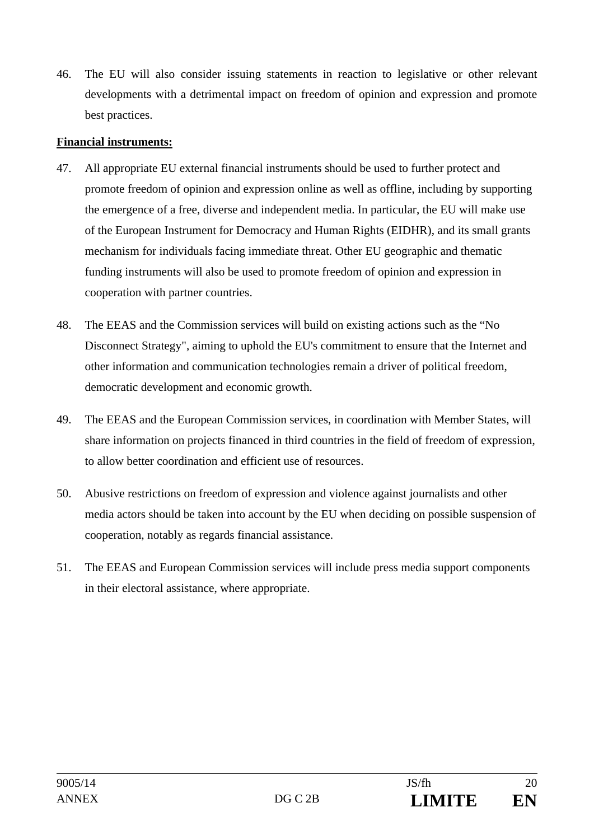46. The EU will also consider issuing statements in reaction to legislative or other relevant developments with a detrimental impact on freedom of opinion and expression and promote best practices.

#### **Financial instruments:**

- 47. All appropriate EU external financial instruments should be used to further protect and promote freedom of opinion and expression online as well as offline, including by supporting the emergence of a free, diverse and independent media. In particular, the EU will make use of the European Instrument for Democracy and Human Rights (EIDHR), and its small grants mechanism for individuals facing immediate threat. Other EU geographic and thematic funding instruments will also be used to promote freedom of opinion and expression in cooperation with partner countries.
- 48. The EEAS and the Commission services will build on existing actions such as the "No Disconnect Strategy", aiming to uphold the EU's commitment to ensure that the Internet and other information and communication technologies remain a driver of political freedom, democratic development and economic growth.
- 49. The EEAS and the European Commission services, in coordination with Member States, will share information on projects financed in third countries in the field of freedom of expression, to allow better coordination and efficient use of resources.
- 50. Abusive restrictions on freedom of expression and violence against journalists and other media actors should be taken into account by the EU when deciding on possible suspension of cooperation, notably as regards financial assistance.
- 51. The EEAS and European Commission services will include press media support components in their electoral assistance, where appropriate.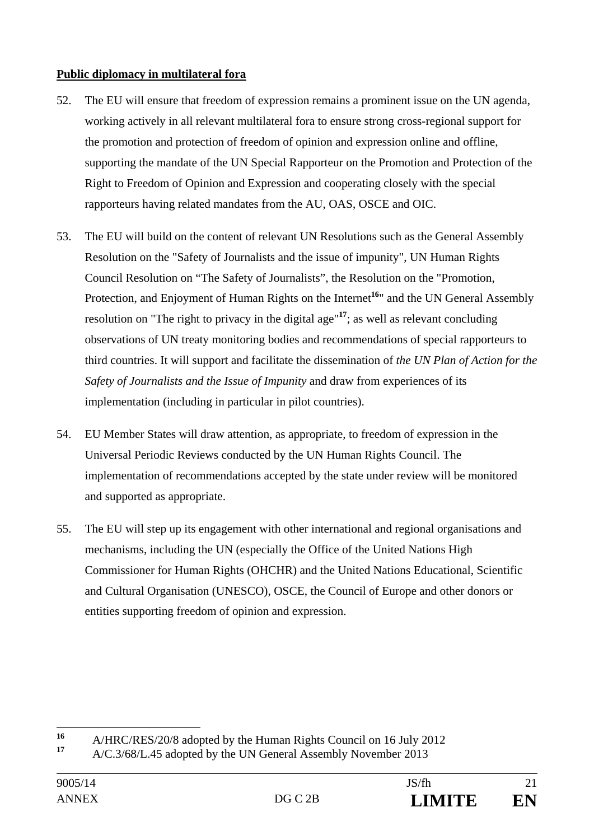### **Public diplomacy in multilateral fora**

- 52. The EU will ensure that freedom of expression remains a prominent issue on the UN agenda, working actively in all relevant multilateral fora to ensure strong cross-regional support for the promotion and protection of freedom of opinion and expression online and offline, supporting the mandate of the UN Special Rapporteur on the Promotion and Protection of the Right to Freedom of Opinion and Expression and cooperating closely with the special rapporteurs having related mandates from the AU, OAS, OSCE and OIC.
- 53. The EU will build on the content of relevant UN Resolutions such as the General Assembly Resolution on the "Safety of Journalists and the issue of impunity", UN Human Rights Council Resolution on "The Safety of Journalists", the Resolution on the "Promotion, Protection, and Enjoyment of Human Rights on the Internet<sup>16</sup><sup>"</sup> and the UN General Assembly resolution on "The right to privacy in the digital age"**<sup>17</sup>**; as well as relevant concluding observations of UN treaty monitoring bodies and recommendations of special rapporteurs to third countries. It will support and facilitate the dissemination of *the UN Plan of Action for the Safety of Journalists and the Issue of Impunity* and draw from experiences of its implementation (including in particular in pilot countries).
- 54. EU Member States will draw attention, as appropriate, to freedom of expression in the Universal Periodic Reviews conducted by the UN Human Rights Council. The implementation of recommendations accepted by the state under review will be monitored and supported as appropriate.
- 55. The EU will step up its engagement with other international and regional organisations and mechanisms, including the UN (especially the Office of the United Nations High Commissioner for Human Rights (OHCHR) and the United Nations Educational, Scientific and Cultural Organisation (UNESCO), OSCE, the Council of Europe and other donors or entities supporting freedom of opinion and expression.

 $16$ <sup>16</sup> A/HRC/RES/20/8 adopted by the Human Rights Council on 16 July 2012

**<sup>17</sup>** A/C.3/68/L.45 adopted by the UN General Assembly November 2013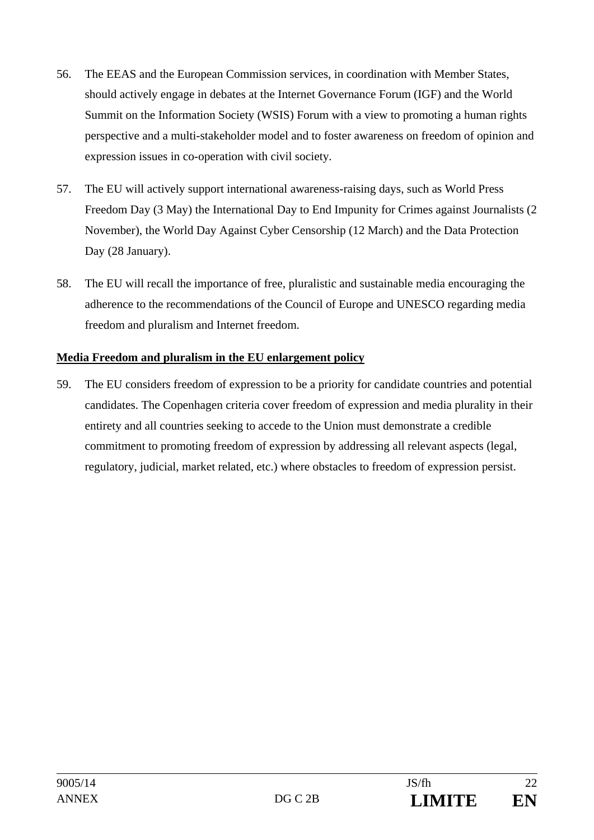- 56. The EEAS and the European Commission services, in coordination with Member States, should actively engage in debates at the Internet Governance Forum (IGF) and the World Summit on the Information Society (WSIS) Forum with a view to promoting a human rights perspective and a multi-stakeholder model and to foster awareness on freedom of opinion and expression issues in co-operation with civil society.
- 57. The EU will actively support international awareness-raising days, such as World Press Freedom Day (3 May) the International Day to End Impunity for Crimes against Journalists (2 November), the World Day Against Cyber Censorship (12 March) and the Data Protection Day (28 January).
- 58. The EU will recall the importance of free, pluralistic and sustainable media encouraging the adherence to the recommendations of the Council of Europe and UNESCO regarding media freedom and pluralism and Internet freedom.

### **Media Freedom and pluralism in the EU enlargement policy**

59. The EU considers freedom of expression to be a priority for candidate countries and potential candidates. The Copenhagen criteria cover freedom of expression and media plurality in their entirety and all countries seeking to accede to the Union must demonstrate a credible commitment to promoting freedom of expression by addressing all relevant aspects (legal, regulatory, judicial, market related, etc.) where obstacles to freedom of expression persist.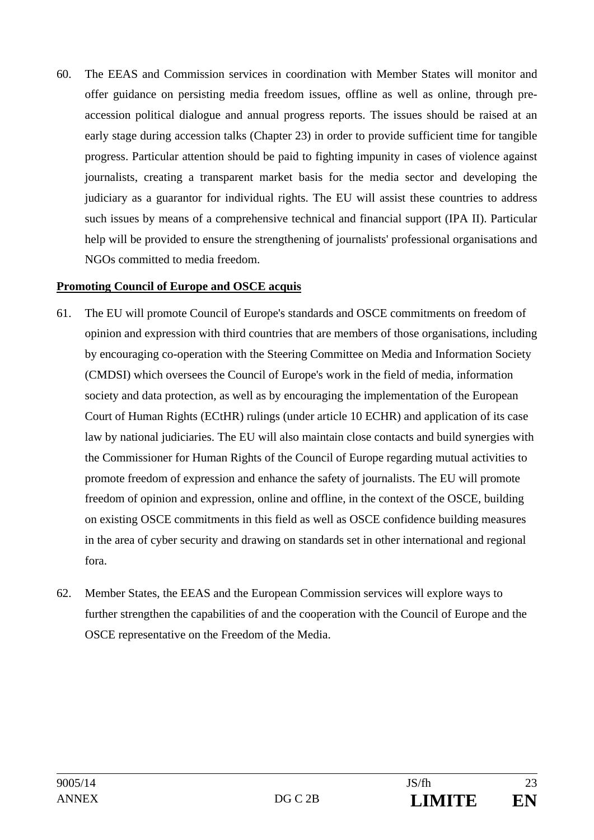60. The EEAS and Commission services in coordination with Member States will monitor and offer guidance on persisting media freedom issues, offline as well as online, through preaccession political dialogue and annual progress reports. The issues should be raised at an early stage during accession talks (Chapter 23) in order to provide sufficient time for tangible progress. Particular attention should be paid to fighting impunity in cases of violence against journalists, creating a transparent market basis for the media sector and developing the judiciary as a guarantor for individual rights. The EU will assist these countries to address such issues by means of a comprehensive technical and financial support (IPA II). Particular help will be provided to ensure the strengthening of journalists' professional organisations and NGOs committed to media freedom.

#### **Promoting Council of Europe and OSCE acquis**

- 61. The EU will promote Council of Europe's standards and OSCE commitments on freedom of opinion and expression with third countries that are members of those organisations, including by encouraging co-operation with the Steering Committee on Media and Information Society (CMDSI) which oversees the Council of Europe's work in the field of media, information society and data protection, as well as by encouraging the implementation of the European Court of Human Rights (ECtHR) rulings (under article 10 ECHR) and application of its case law by national judiciaries. The EU will also maintain close contacts and build synergies with the Commissioner for Human Rights of the Council of Europe regarding mutual activities to promote freedom of expression and enhance the safety of journalists. The EU will promote freedom of opinion and expression, online and offline, in the context of the OSCE, building on existing OSCE commitments in this field as well as OSCE confidence building measures in the area of cyber security and drawing on standards set in other international and regional fora.
- 62. Member States, the EEAS and the European Commission services will explore ways to further strengthen the capabilities of and the cooperation with the Council of Europe and the OSCE representative on the Freedom of the Media.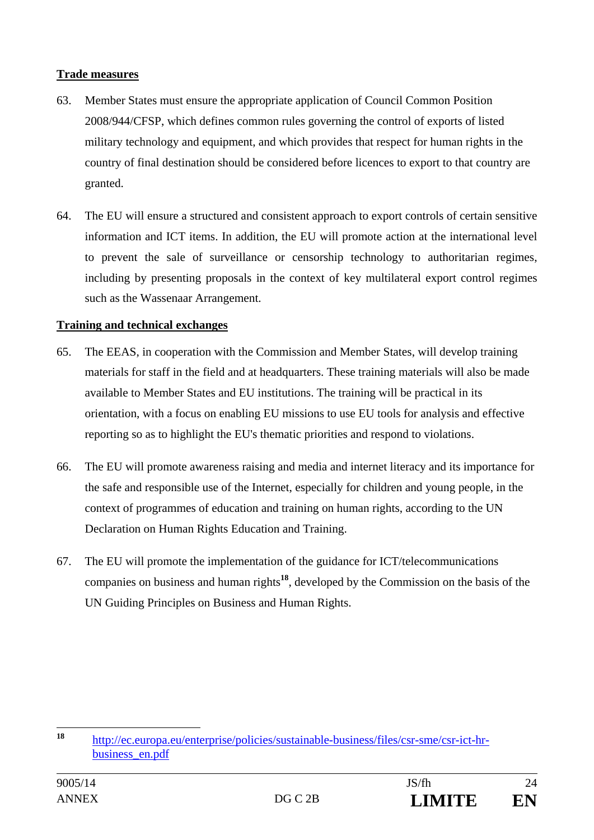#### **Trade measures**

- 63. Member States must ensure the appropriate application of Council Common Position 2008/944/CFSP, which defines common rules governing the control of exports of listed military technology and equipment, and which provides that respect for human rights in the country of final destination should be considered before licences to export to that country are granted.
- 64. The EU will ensure a structured and consistent approach to export controls of certain sensitive information and ICT items. In addition, the EU will promote action at the international level to prevent the sale of surveillance or censorship technology to authoritarian regimes, including by presenting proposals in the context of key multilateral export control regimes such as the Wassenaar Arrangement.

#### **Training and technical exchanges**

- 65. The EEAS, in cooperation with the Commission and Member States, will develop training materials for staff in the field and at headquarters. These training materials will also be made available to Member States and EU institutions. The training will be practical in its orientation, with a focus on enabling EU missions to use EU tools for analysis and effective reporting so as to highlight the EU's thematic priorities and respond to violations.
- 66. The EU will promote awareness raising and media and internet literacy and its importance for the safe and responsible use of the Internet, especially for children and young people, in the context of programmes of education and training on human rights, according to the UN Declaration on Human Rights Education and Training.
- 67. The EU will promote the implementation of the guidance for ICT/telecommunications companies on business and human rights**<sup>18</sup>**, developed by the Commission on the basis of the UN Guiding Principles on Business and Human Rights.

 $18$ **<sup>18</sup>** http://ec.europa.eu/enterprise/policies/sustainable-business/files/csr-sme/csr-ict-hrbusiness\_en.pdf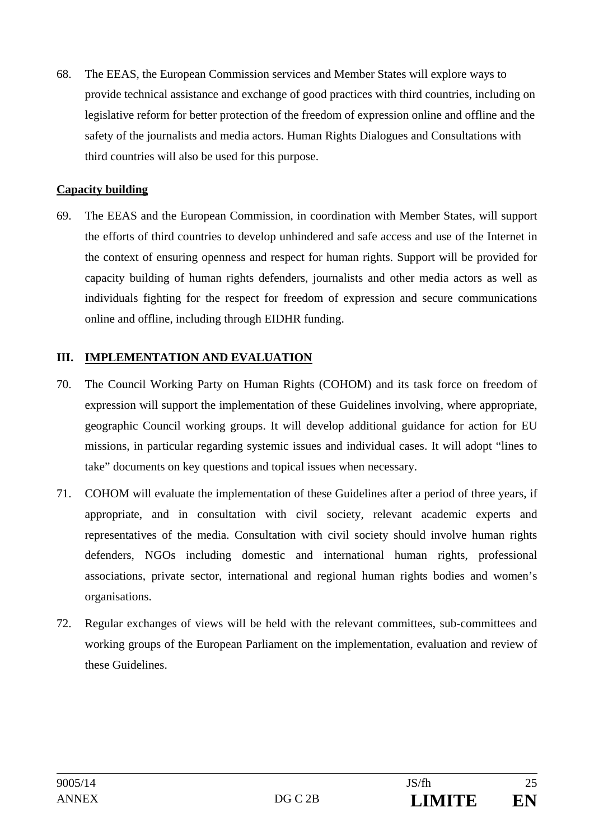68. The EEAS, the European Commission services and Member States will explore ways to provide technical assistance and exchange of good practices with third countries, including on legislative reform for better protection of the freedom of expression online and offline and the safety of the journalists and media actors. Human Rights Dialogues and Consultations with third countries will also be used for this purpose.

#### **Capacity building**

69. The EEAS and the European Commission, in coordination with Member States, will support the efforts of third countries to develop unhindered and safe access and use of the Internet in the context of ensuring openness and respect for human rights. Support will be provided for capacity building of human rights defenders, journalists and other media actors as well as individuals fighting for the respect for freedom of expression and secure communications online and offline, including through EIDHR funding.

#### **III. IMPLEMENTATION AND EVALUATION**

- 70. The Council Working Party on Human Rights (COHOM) and its task force on freedom of expression will support the implementation of these Guidelines involving, where appropriate, geographic Council working groups. It will develop additional guidance for action for EU missions, in particular regarding systemic issues and individual cases. It will adopt "lines to take" documents on key questions and topical issues when necessary.
- 71. COHOM will evaluate the implementation of these Guidelines after a period of three years, if appropriate, and in consultation with civil society, relevant academic experts and representatives of the media. Consultation with civil society should involve human rights defenders, NGOs including domestic and international human rights, professional associations, private sector, international and regional human rights bodies and women's organisations.
- 72. Regular exchanges of views will be held with the relevant committees, sub-committees and working groups of the European Parliament on the implementation, evaluation and review of these Guidelines.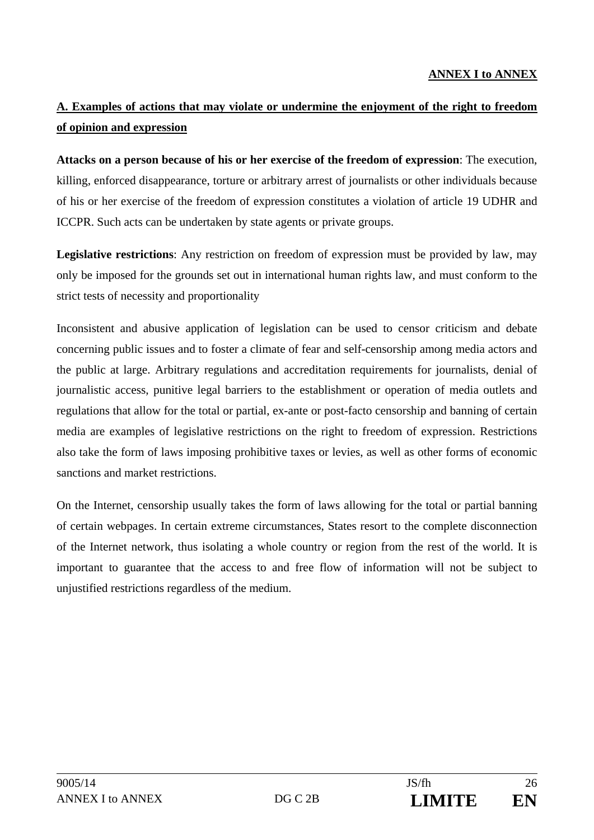#### **ANNEX I to ANNEX**

# **A. Examples of actions that may violate or undermine the enjoyment of the right to freedom of opinion and expression**

**Attacks on a person because of his or her exercise of the freedom of expression**: The execution, killing, enforced disappearance, torture or arbitrary arrest of journalists or other individuals because of his or her exercise of the freedom of expression constitutes a violation of article 19 UDHR and ICCPR. Such acts can be undertaken by state agents or private groups.

**Legislative restrictions**: Any restriction on freedom of expression must be provided by law, may only be imposed for the grounds set out in international human rights law, and must conform to the strict tests of necessity and proportionality

Inconsistent and abusive application of legislation can be used to censor criticism and debate concerning public issues and to foster a climate of fear and self-censorship among media actors and the public at large. Arbitrary regulations and accreditation requirements for journalists, denial of journalistic access, punitive legal barriers to the establishment or operation of media outlets and regulations that allow for the total or partial, ex-ante or post-facto censorship and banning of certain media are examples of legislative restrictions on the right to freedom of expression. Restrictions also take the form of laws imposing prohibitive taxes or levies, as well as other forms of economic sanctions and market restrictions.

On the Internet, censorship usually takes the form of laws allowing for the total or partial banning of certain webpages. In certain extreme circumstances, States resort to the complete disconnection of the Internet network, thus isolating a whole country or region from the rest of the world. It is important to guarantee that the access to and free flow of information will not be subject to unjustified restrictions regardless of the medium.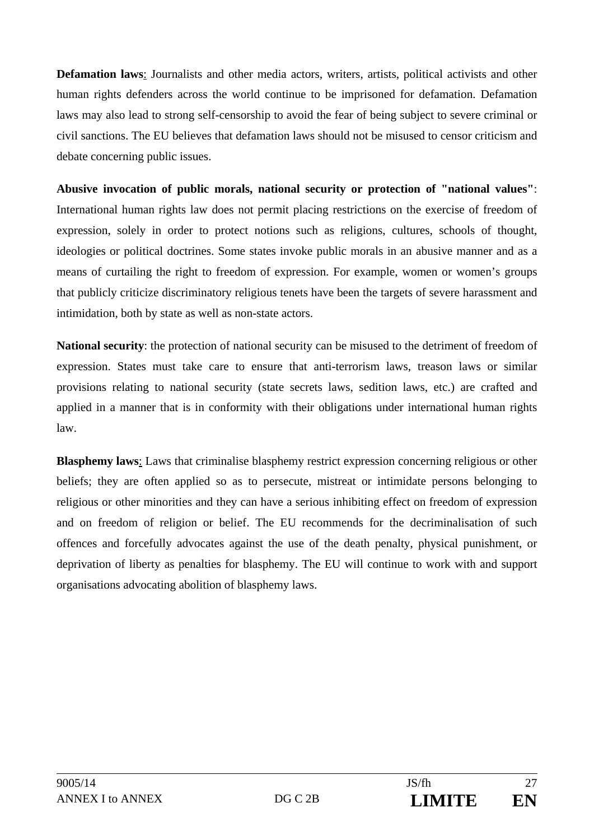**Defamation laws**: Journalists and other media actors, writers, artists, political activists and other human rights defenders across the world continue to be imprisoned for defamation. Defamation laws may also lead to strong self-censorship to avoid the fear of being subject to severe criminal or civil sanctions. The EU believes that defamation laws should not be misused to censor criticism and debate concerning public issues.

**Abusive invocation of public morals, national security or protection of "national values"**: International human rights law does not permit placing restrictions on the exercise of freedom of expression, solely in order to protect notions such as religions, cultures, schools of thought, ideologies or political doctrines. Some states invoke public morals in an abusive manner and as a means of curtailing the right to freedom of expression. For example, women or women's groups that publicly criticize discriminatory religious tenets have been the targets of severe harassment and intimidation, both by state as well as non-state actors.

**National security**: the protection of national security can be misused to the detriment of freedom of expression. States must take care to ensure that anti-terrorism laws, treason laws or similar provisions relating to national security (state secrets laws, sedition laws, etc.) are crafted and applied in a manner that is in conformity with their obligations under international human rights law.

**Blasphemy laws**: Laws that criminalise blasphemy restrict expression concerning religious or other beliefs; they are often applied so as to persecute, mistreat or intimidate persons belonging to religious or other minorities and they can have a serious inhibiting effect on freedom of expression and on freedom of religion or belief. The EU recommends for the decriminalisation of such offences and forcefully advocates against the use of the death penalty, physical punishment, or deprivation of liberty as penalties for blasphemy. The EU will continue to work with and support organisations advocating abolition of blasphemy laws.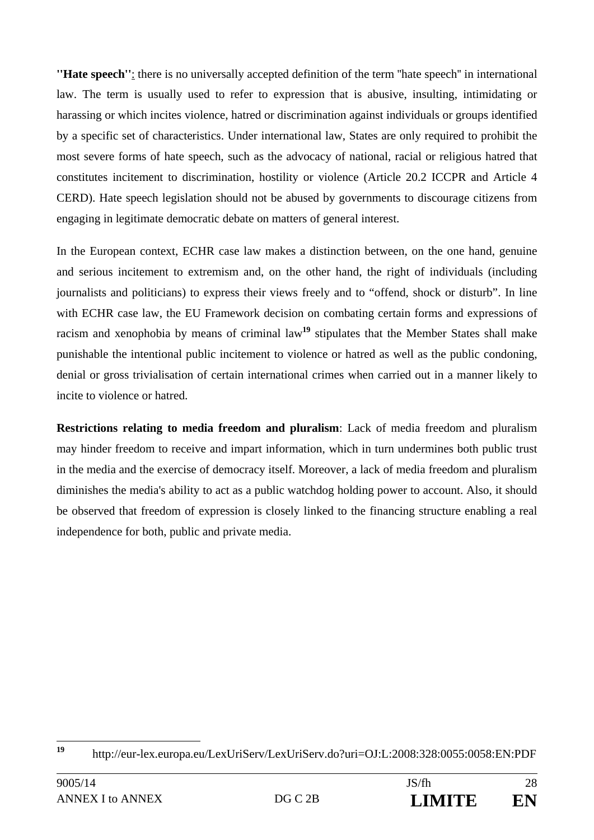**''Hate speech''**: there is no universally accepted definition of the term ''hate speech'' in international law. The term is usually used to refer to expression that is abusive, insulting, intimidating or harassing or which incites violence, hatred or discrimination against individuals or groups identified by a specific set of characteristics. Under international law, States are only required to prohibit the most severe forms of hate speech, such as the advocacy of national, racial or religious hatred that constitutes incitement to discrimination, hostility or violence (Article 20.2 ICCPR and Article 4 CERD). Hate speech legislation should not be abused by governments to discourage citizens from engaging in legitimate democratic debate on matters of general interest.

In the European context, ECHR case law makes a distinction between, on the one hand, genuine and serious incitement to extremism and, on the other hand, the right of individuals (including journalists and politicians) to express their views freely and to "offend, shock or disturb". In line with ECHR case law, the EU Framework decision on combating certain forms and expressions of racism and xenophobia by means of criminal law**<sup>19</sup>** stipulates that the Member States shall make punishable the intentional public incitement to violence or hatred as well as the public condoning, denial or gross trivialisation of certain international crimes when carried out in a manner likely to incite to violence or hatred.

**Restrictions relating to media freedom and pluralism**: Lack of media freedom and pluralism may hinder freedom to receive and impart information, which in turn undermines both public trust in the media and the exercise of democracy itself. Moreover, a lack of media freedom and pluralism diminishes the media's ability to act as a public watchdog holding power to account. Also, it should be observed that freedom of expression is closely linked to the financing structure enabling a real independence for both, public and private media.

 $19$ **<sup>19</sup>** http://eur-lex.europa.eu/LexUriServ/LexUriServ.do?uri=OJ:L:2008:328:0055:0058:EN:PDF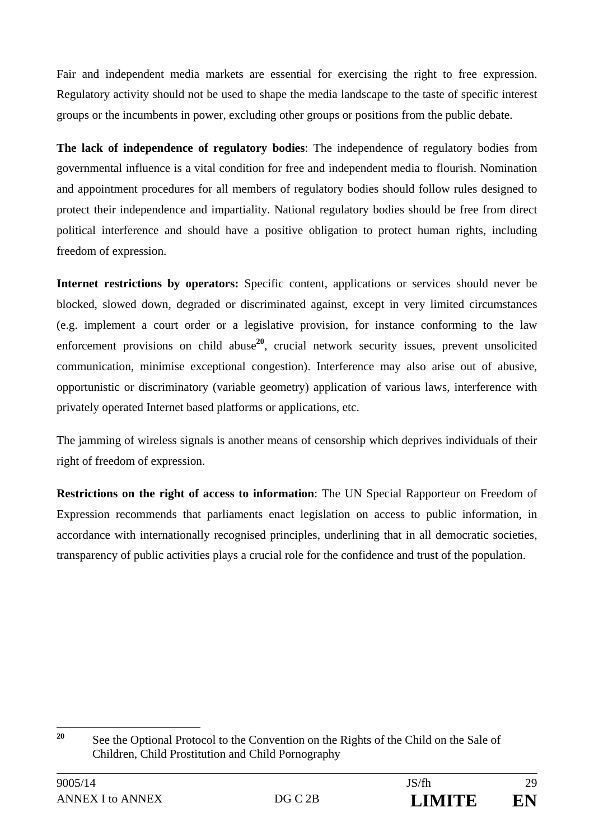Fair and independent media markets are essential for exercising the right to free expression. Regulatory activity should not be used to shape the media landscape to the taste of specific interest groups or the incumbents in power, excluding other groups or positions from the public debate.

**The lack of independence of regulatory bodies**: The independence of regulatory bodies from governmental influence is a vital condition for free and independent media to flourish. Nomination and appointment procedures for all members of regulatory bodies should follow rules designed to protect their independence and impartiality. National regulatory bodies should be free from direct political interference and should have a positive obligation to protect human rights, including freedom of expression.

**Internet restrictions by operators:** Specific content, applications or services should never be blocked, slowed down, degraded or discriminated against, except in very limited circumstances (e.g. implement a court order or a legislative provision, for instance conforming to the law enforcement provisions on child abuse<sup>20</sup>, crucial network security issues, prevent unsolicited communication, minimise exceptional congestion). Interference may also arise out of abusive, opportunistic or discriminatory (variable geometry) application of various laws, interference with privately operated Internet based platforms or applications, etc.

The jamming of wireless signals is another means of censorship which deprives individuals of their right of freedom of expression.

**Restrictions on the right of access to information**: The UN Special Rapporteur on Freedom of Expression recommends that parliaments enact legislation on access to public information, in accordance with internationally recognised principles, underlining that in all democratic societies, transparency of public activities plays a crucial role for the confidence and trust of the population.

 $20$ **<sup>20</sup>** See the Optional Protocol to the Convention on the Rights of the Child on the Sale of Children, Child Prostitution and Child Pornography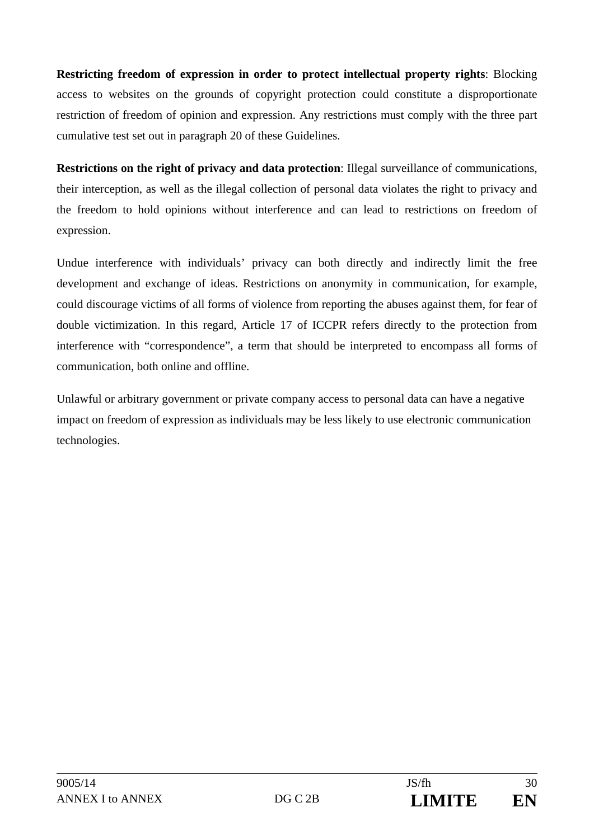**Restricting freedom of expression in order to protect intellectual property rights**: Blocking access to websites on the grounds of copyright protection could constitute a disproportionate restriction of freedom of opinion and expression. Any restrictions must comply with the three part cumulative test set out in paragraph 20 of these Guidelines.

**Restrictions on the right of privacy and data protection**: Illegal surveillance of communications, their interception, as well as the illegal collection of personal data violates the right to privacy and the freedom to hold opinions without interference and can lead to restrictions on freedom of expression.

Undue interference with individuals' privacy can both directly and indirectly limit the free development and exchange of ideas. Restrictions on anonymity in communication, for example, could discourage victims of all forms of violence from reporting the abuses against them, for fear of double victimization. In this regard, Article 17 of ICCPR refers directly to the protection from interference with "correspondence", a term that should be interpreted to encompass all forms of communication, both online and offline.

Unlawful or arbitrary government or private company access to personal data can have a negative impact on freedom of expression as individuals may be less likely to use electronic communication technologies.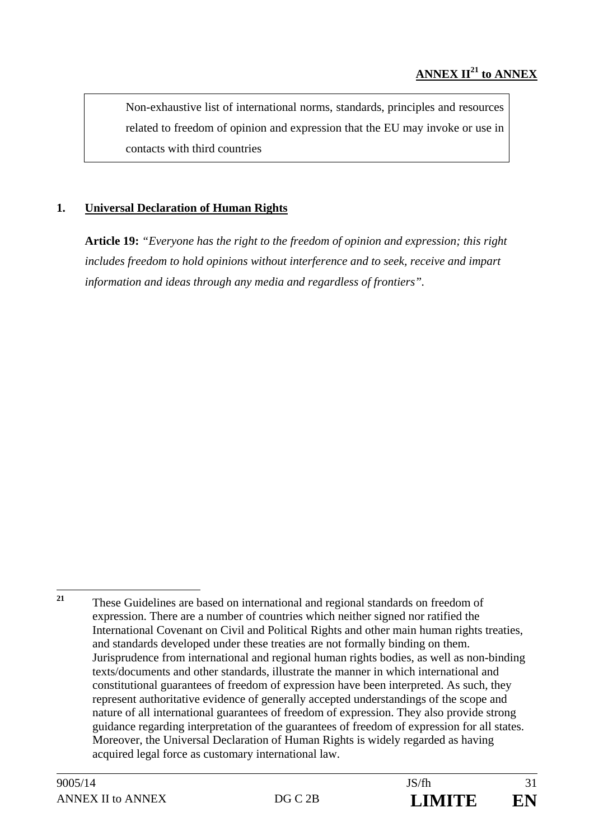Non-exhaustive list of international norms, standards, principles and resources related to freedom of opinion and expression that the EU may invoke or use in contacts with third countries

### **1. Universal Declaration of Human Rights**

**Article 19:** *"Everyone has the right to the freedom of opinion and expression; this right includes freedom to hold opinions without interference and to seek, receive and impart information and ideas through any media and regardless of frontiers".*

<sup>21</sup> **<sup>21</sup>** These Guidelines are based on international and regional standards on freedom of expression. There are a number of countries which neither signed nor ratified the International Covenant on Civil and Political Rights and other main human rights treaties, and standards developed under these treaties are not formally binding on them. Jurisprudence from international and regional human rights bodies, as well as non-binding texts/documents and other standards, illustrate the manner in which international and constitutional guarantees of freedom of expression have been interpreted. As such, they represent authoritative evidence of generally accepted understandings of the scope and nature of all international guarantees of freedom of expression. They also provide strong guidance regarding interpretation of the guarantees of freedom of expression for all states. Moreover, the Universal Declaration of Human Rights is widely regarded as having acquired legal force as customary international law.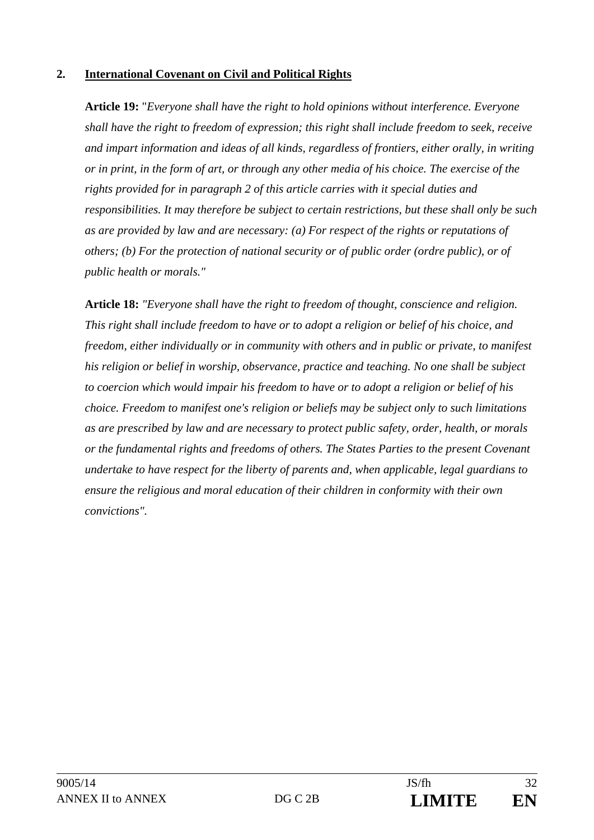#### **2. International Covenant on Civil and Political Rights**

**Article 19:** "*Everyone shall have the right to hold opinions without interference. Everyone shall have the right to freedom of expression; this right shall include freedom to seek, receive and impart information and ideas of all kinds, regardless of frontiers, either orally, in writing or in print, in the form of art, or through any other media of his choice. The exercise of the rights provided for in paragraph 2 of this article carries with it special duties and responsibilities. It may therefore be subject to certain restrictions, but these shall only be such as are provided by law and are necessary: (a) For respect of the rights or reputations of others; (b) For the protection of national security or of public order (ordre public), or of public health or morals."* 

**Article 18:** *"Everyone shall have the right to freedom of thought, conscience and religion. This right shall include freedom to have or to adopt a religion or belief of his choice, and freedom, either individually or in community with others and in public or private, to manifest his religion or belief in worship, observance, practice and teaching. No one shall be subject to coercion which would impair his freedom to have or to adopt a religion or belief of his choice. Freedom to manifest one's religion or beliefs may be subject only to such limitations as are prescribed by law and are necessary to protect public safety, order, health, or morals or the fundamental rights and freedoms of others. The States Parties to the present Covenant undertake to have respect for the liberty of parents and, when applicable, legal guardians to ensure the religious and moral education of their children in conformity with their own convictions".*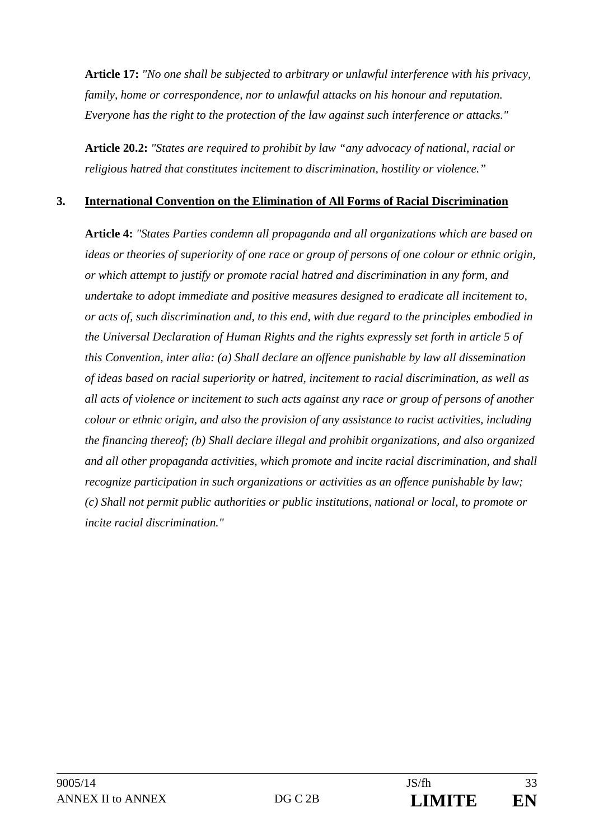**Article 17:** *"No one shall be subjected to arbitrary or unlawful interference with his privacy, family, home or correspondence, nor to unlawful attacks on his honour and reputation. Everyone has the right to the protection of the law against such interference or attacks."* 

**Article 20.2:** *"States are required to prohibit by law "any advocacy of national, racial or religious hatred that constitutes incitement to discrimination, hostility or violence."*

#### **3. International Convention on the Elimination of All Forms of Racial Discrimination**

**Article 4:** *"States Parties condemn all propaganda and all organizations which are based on ideas or theories of superiority of one race or group of persons of one colour or ethnic origin, or which attempt to justify or promote racial hatred and discrimination in any form, and undertake to adopt immediate and positive measures designed to eradicate all incitement to, or acts of, such discrimination and, to this end, with due regard to the principles embodied in the Universal Declaration of Human Rights and the rights expressly set forth in article 5 of this Convention, inter alia: (a) Shall declare an offence punishable by law all dissemination of ideas based on racial superiority or hatred, incitement to racial discrimination, as well as all acts of violence or incitement to such acts against any race or group of persons of another colour or ethnic origin, and also the provision of any assistance to racist activities, including the financing thereof; (b) Shall declare illegal and prohibit organizations, and also organized and all other propaganda activities, which promote and incite racial discrimination, and shall recognize participation in such organizations or activities as an offence punishable by law; (c) Shall not permit public authorities or public institutions, national or local, to promote or incite racial discrimination."*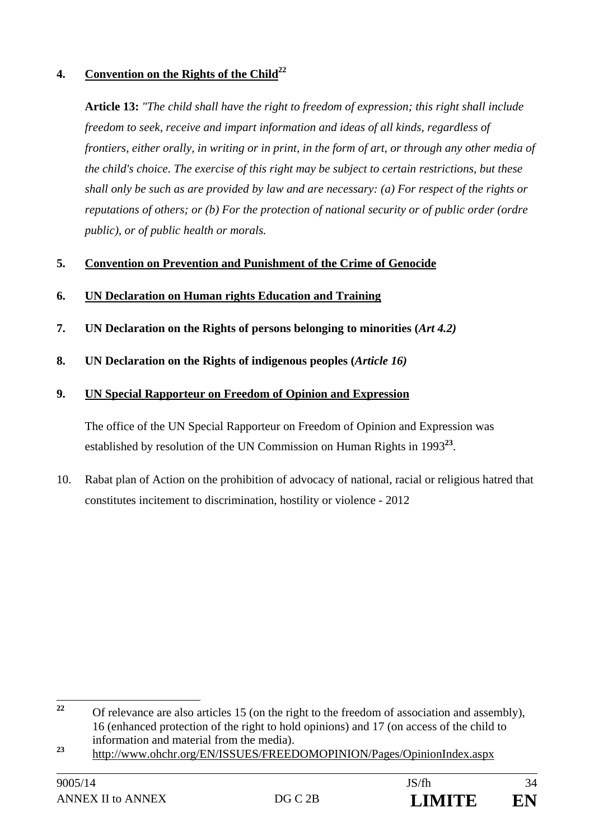### **4.** Convention on the Rights of the Child<sup>22</sup>

**Article 13:** *"The child shall have the right to freedom of expression; this right shall include freedom to seek, receive and impart information and ideas of all kinds, regardless of frontiers, either orally, in writing or in print, in the form of art, or through any other media of the child's choice. The exercise of this right may be subject to certain restrictions, but these shall only be such as are provided by law and are necessary: (a) For respect of the rights or reputations of others; or (b) For the protection of national security or of public order (ordre public), or of public health or morals.* 

#### **5. Convention on Prevention and Punishment of the Crime of Genocide**

- **6. UN Declaration on Human rights Education and Training**
- **7. UN Declaration on the Rights of persons belonging to minorities (***Art 4.2)*
- **8. UN Declaration on the Rights of indigenous peoples (***Article 16)*

#### **9. UN Special Rapporteur on Freedom of Opinion and Expression**

The office of the UN Special Rapporteur on Freedom of Opinion and Expression was established by resolution of the UN Commission on Human Rights in 1993**<sup>23</sup>**.

10. Rabat plan of Action on the prohibition of advocacy of national, racial or religious hatred that constitutes incitement to discrimination, hostility or violence - 2012

 $22$ **<sup>22</sup>** Of relevance are also articles 15 (on the right to the freedom of association and assembly), 16 (enhanced protection of the right to hold opinions) and 17 (on access of the child to information and material from the media).

<sup>&</sup>lt;sup>23</sup> http://www.ohchr.org/EN/ISSUES/FREEDOMOPINION/Pages/OpinionIndex.aspx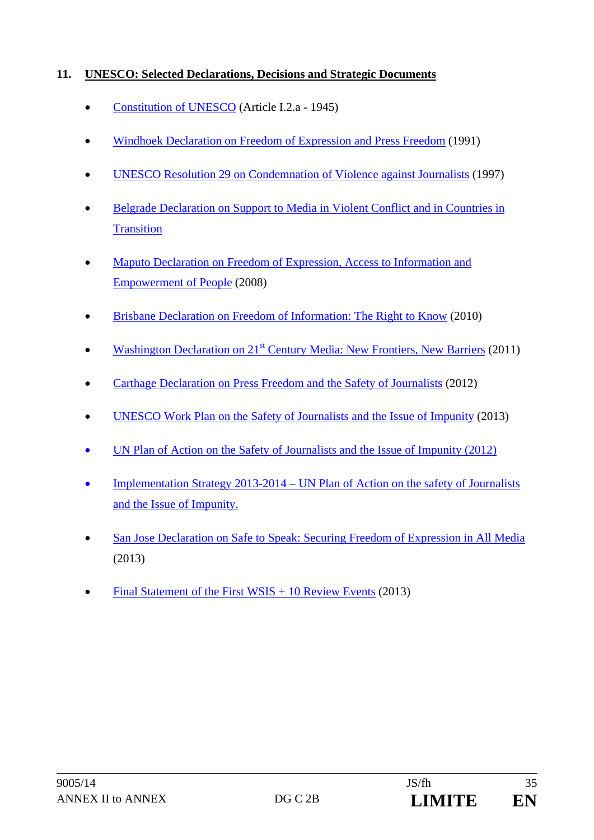## **11. UNESCO: Selected Declarations, Decisions and Strategic Documents**

- Constitution of UNESCO (Article I.2.a 1945)
- Windhoek Declaration on Freedom of Expression and Press Freedom (1991)
- UNESCO Resolution 29 on Condemnation of Violence against Journalists (1997)
- Belgrade Declaration on Support to Media in Violent Conflict and in Countries in **Transition**
- Maputo Declaration on Freedom of Expression, Access to Information and Empowerment of People (2008)
- Brisbane Declaration on Freedom of Information: The Right to Know (2010)
- Washington Declaration on 21<sup>st</sup> Century Media: New Frontiers, New Barriers (2011)
- Carthage Declaration on Press Freedom and the Safety of Journalists (2012)
- UNESCO Work Plan on the Safety of Journalists and the Issue of Impunity (2013)
- UN Plan of Action on the Safety of Journalists and the Issue of Impunity (2012)
- Implementation Strategy 2013-2014 UN Plan of Action on the safety of Journalists and the Issue of Impunity.
- San Jose Declaration on Safe to Speak: Securing Freedom of Expression in All Media (2013)
- Final Statement of the First WSIS + 10 Review Events (2013)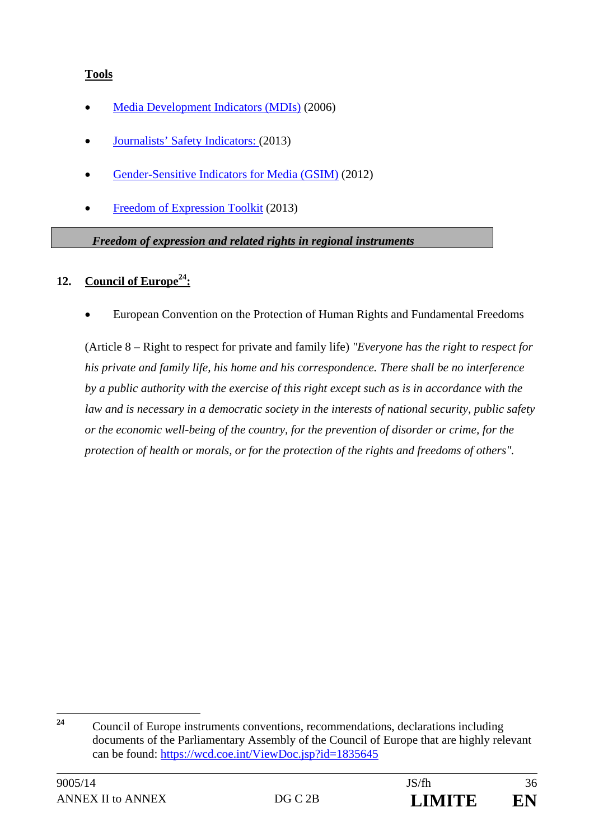### **Tools**

- Media Development Indicators (MDIs) (2006)
- Journalists' Safety Indicators: (2013)
- Gender-Sensitive Indicators for Media (GSIM) (2012)
- Freedom of Expression Toolkit (2013)

#### *Freedom of expression and related rights in regional instruments*

#### **12. Council of Europe24:**

European Convention on the Protection of Human Rights and Fundamental Freedoms

(Article 8 – Right to respect for private and family life) *"Everyone has the right to respect for his private and family life, his home and his correspondence. There shall be no interference by a public authority with the exercise of this right except such as is in accordance with the law and is necessary in a democratic society in the interests of national security, public safety or the economic well-being of the country, for the prevention of disorder or crime, for the protection of health or morals, or for the protection of the rights and freedoms of others".* 

 $24$ **<sup>24</sup>** Council of Europe instruments conventions, recommendations, declarations including documents of the Parliamentary Assembly of the Council of Europe that are highly relevant can be found: https://wcd.coe.int/ViewDoc.jsp?id=1835645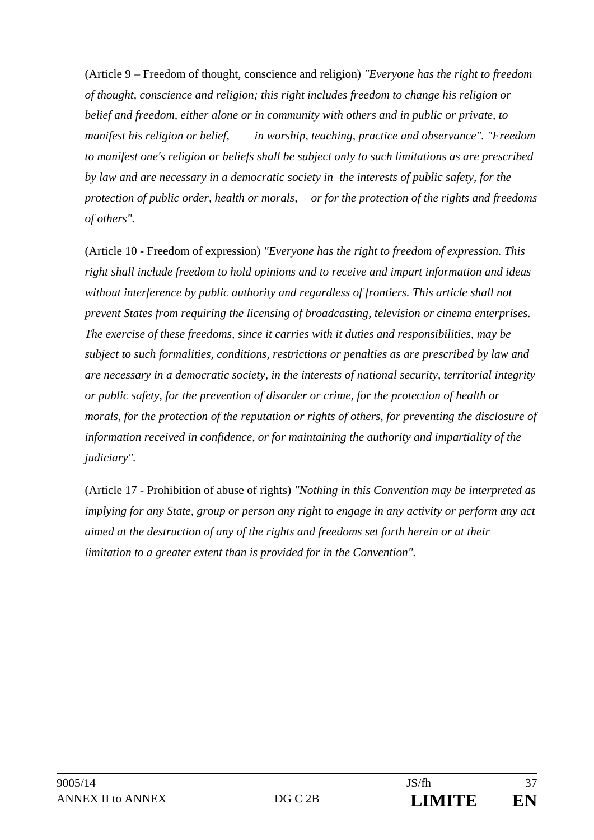(Article 9 – Freedom of thought, conscience and religion) *"Everyone has the right to freedom of thought, conscience and religion; this right includes freedom to change his religion or belief and freedom, either alone or in community with others and in public or private, to manifest his religion or belief, in worship, teaching, practice and observance". "Freedom to manifest one's religion or beliefs shall be subject only to such limitations as are prescribed by law and are necessary in a democratic society in the interests of public safety, for the protection of public order, health or morals, or for the protection of the rights and freedoms of others".* 

(Article 10 - Freedom of expression) *"Everyone has the right to freedom of expression. This right shall include freedom to hold opinions and to receive and impart information and ideas without interference by public authority and regardless of frontiers. This article shall not prevent States from requiring the licensing of broadcasting, television or cinema enterprises. The exercise of these freedoms, since it carries with it duties and responsibilities, may be subject to such formalities, conditions, restrictions or penalties as are prescribed by law and are necessary in a democratic society, in the interests of national security, territorial integrity or public safety, for the prevention of disorder or crime, for the protection of health or morals, for the protection of the reputation or rights of others, for preventing the disclosure of information received in confidence, or for maintaining the authority and impartiality of the judiciary".* 

(Article 17 - Prohibition of abuse of rights) *"Nothing in this Convention may be interpreted as implying for any State, group or person any right to engage in any activity or perform any act aimed at the destruction of any of the rights and freedoms set forth herein or at their limitation to a greater extent than is provided for in the Convention".*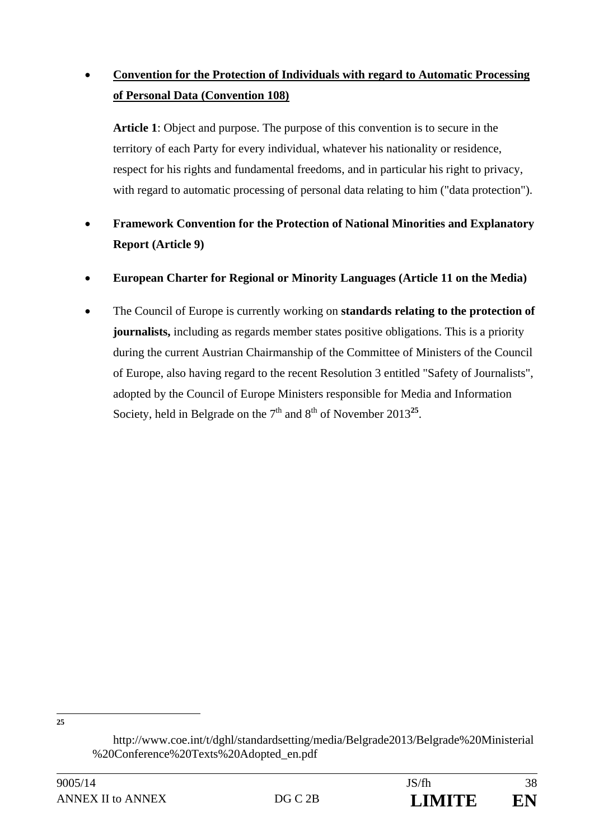# **Convention for the Protection of Individuals with regard to Automatic Processing of Personal Data (Convention 108)**

**Article 1**: Object and purpose. The purpose of this convention is to secure in the territory of each Party for every individual, whatever his nationality or residence, respect for his rights and fundamental freedoms, and in particular his right to privacy, with regard to automatic processing of personal data relating to him ("data protection").

- **Framework Convention for the Protection of National Minorities and Explanatory Report (Article 9)**
- **European Charter for Regional or Minority Languages (Article 11 on the Media)**
- The Council of Europe is currently working on **standards relating to the protection of journalists,** including as regards member states positive obligations. This is a priority during the current Austrian Chairmanship of the Committee of Ministers of the Council of Europe, also having regard to the recent Resolution 3 entitled "Safety of Journalists", adopted by the Council of Europe Ministers responsible for Media and Information Society, held in Belgrade on the  $7<sup>th</sup>$  and  $8<sup>th</sup>$  of November 2013<sup>25</sup>.

**25**

http://www.coe.int/t/dghl/standardsetting/media/Belgrade2013/Belgrade%20Ministerial %20Conference%20Texts%20Adopted\_en.pdf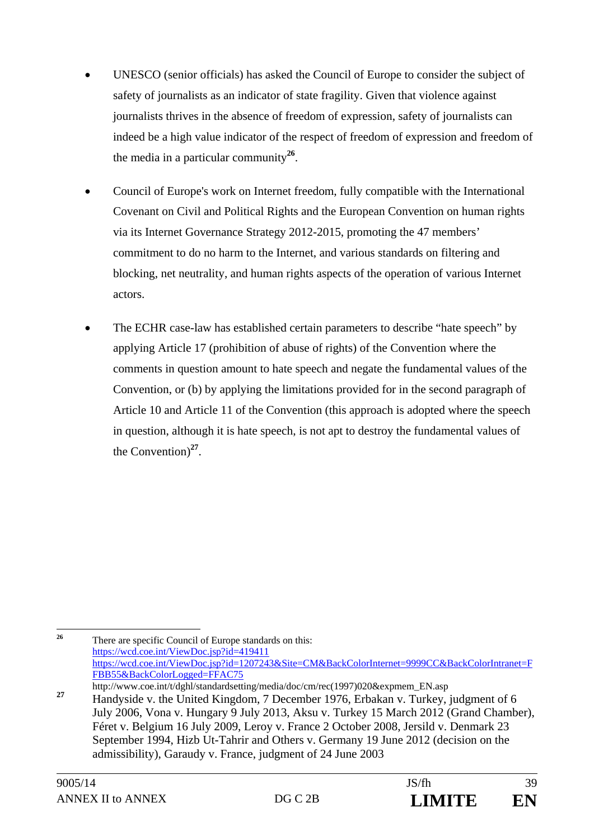- UNESCO (senior officials) has asked the Council of Europe to consider the subject of safety of journalists as an indicator of state fragility. Given that violence against journalists thrives in the absence of freedom of expression, safety of journalists can indeed be a high value indicator of the respect of freedom of expression and freedom of the media in a particular community**<sup>26</sup>**.
- Council of Europe's work on Internet freedom, fully compatible with the International Covenant on Civil and Political Rights and the European Convention on human rights via its Internet Governance Strategy 2012-2015, promoting the 47 members' commitment to do no harm to the Internet, and various standards on filtering and blocking, net neutrality, and human rights aspects of the operation of various Internet actors.
- The ECHR case-law has established certain parameters to describe "hate speech" by applying Article 17 (prohibition of abuse of rights) of the Convention where the comments in question amount to hate speech and negate the fundamental values of the Convention, or (b) by applying the limitations provided for in the second paragraph of Article 10 and Article 11 of the Convention (this approach is adopted where the speech in question, although it is hate speech, is not apt to destroy the fundamental values of the Convention)**<sup>27</sup>**.

 $26$ There are specific Council of Europe standards on this: https://wcd.coe.int/ViewDoc.jsp?id=419411 https://wcd.coe.int/ViewDoc.jsp?id=1207243&Site=CM&BackColorInternet=9999CC&BackColorIntranet=F FBB55&BackColorLogged=FFAC75

http://www.coe.int/t/dghl/standardsetting/media/doc/cm/rec(1997)020&expmem\_EN.asp <sup>27</sup> Handyside v. the United Kingdom, 7 December 1976, Erbakan v. Turkey, judgment of 6 July 2006, Vona v. Hungary 9 July 2013, Aksu v. Turkey 15 March 2012 (Grand Chamber), Féret v. Belgium 16 July 2009, Leroy v. France 2 October 2008, Jersild v. Denmark 23 September 1994, Hizb Ut-Tahrir and Others v. Germany 19 June 2012 (decision on the admissibility), Garaudy v. France, judgment of 24 June 2003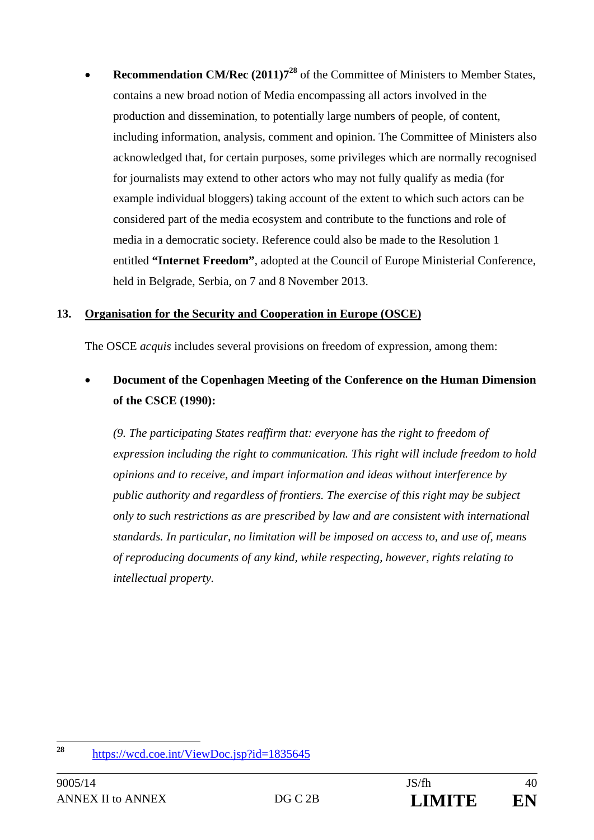**Recommendation CM/Rec (2011)7<sup>28</sup>** of the Committee of Ministers to Member States, contains a new broad notion of Media encompassing all actors involved in the production and dissemination, to potentially large numbers of people, of content, including information, analysis, comment and opinion. The Committee of Ministers also acknowledged that, for certain purposes, some privileges which are normally recognised for journalists may extend to other actors who may not fully qualify as media (for example individual bloggers) taking account of the extent to which such actors can be considered part of the media ecosystem and contribute to the functions and role of media in a democratic society. Reference could also be made to the Resolution 1 entitled **"Internet Freedom"**, adopted at the Council of Europe Ministerial Conference, held in Belgrade, Serbia, on 7 and 8 November 2013.

#### **13. Organisation for the Security and Cooperation in Europe (OSCE)**

The OSCE *acquis* includes several provisions on freedom of expression, among them:

# **Document of the Copenhagen Meeting of the Conference on the Human Dimension of the CSCE (1990):**

*(9. The participating States reaffirm that: everyone has the right to freedom of expression including the right to communication. This right will include freedom to hold opinions and to receive, and impart information and ideas without interference by public authority and regardless of frontiers. The exercise of this right may be subject only to such restrictions as are prescribed by law and are consistent with international standards. In particular, no limitation will be imposed on access to, and use of, means of reproducing documents of any kind, while respecting, however, rights relating to intellectual property.* 

 $28$ **<sup>28</sup>** https://wcd.coe.int/ViewDoc.jsp?id=1835645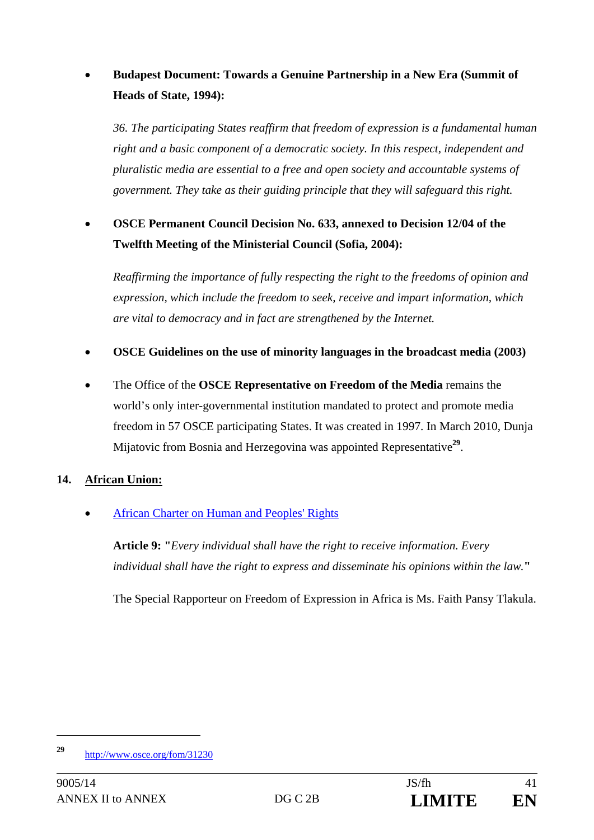# **Budapest Document: Towards a Genuine Partnership in a New Era (Summit of Heads of State, 1994):**

*36. The participating States reaffirm that freedom of expression is a fundamental human right and a basic component of a democratic society. In this respect, independent and pluralistic media are essential to a free and open society and accountable systems of government. They take as their guiding principle that they will safeguard this right.* 

# **OSCE Permanent Council Decision No. 633, annexed to Decision 12/04 of the Twelfth Meeting of the Ministerial Council (Sofia, 2004):**

*Reaffirming the importance of fully respecting the right to the freedoms of opinion and expression, which include the freedom to seek, receive and impart information, which are vital to democracy and in fact are strengthened by the Internet.* 

### **OSCE Guidelines on the use of minority languages in the broadcast media (2003)**

 The Office of the **OSCE Representative on Freedom of the Media** remains the world's only inter-governmental institution mandated to protect and promote media freedom in 57 OSCE participating States. It was created in 1997. In March 2010, Dunja Mijatovic from Bosnia and Herzegovina was appointed Representative**<sup>29</sup>**.

#### **14. African Union:**

African Charter on Human and Peoples' Rights

**Article 9: "***Every individual shall have the right to receive information. Every individual shall have the right to express and disseminate his opinions within the law.***"** 

The Special Rapporteur on Freedom of Expression in Africa is Ms. Faith Pansy Tlakula.

 $\overline{a}$ 

**<sup>29</sup>** http://www.osce.org/fom/31230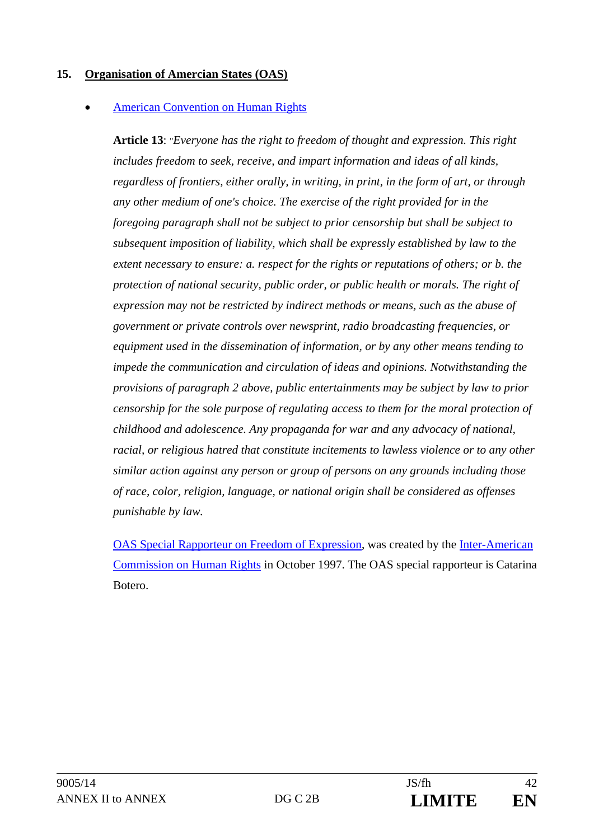#### **15. Organisation of Amercian States (OAS)**

#### American Convention on Human Rights

**Article 13**: "*Everyone has the right to freedom of thought and expression. This right includes freedom to seek, receive, and impart information and ideas of all kinds, regardless of frontiers, either orally, in writing, in print, in the form of art, or through any other medium of one's choice. The exercise of the right provided for in the foregoing paragraph shall not be subject to prior censorship but shall be subject to subsequent imposition of liability, which shall be expressly established by law to the extent necessary to ensure: a. respect for the rights or reputations of others; or b. the protection of national security, public order, or public health or morals. The right of expression may not be restricted by indirect methods or means, such as the abuse of government or private controls over newsprint, radio broadcasting frequencies, or equipment used in the dissemination of information, or by any other means tending to impede the communication and circulation of ideas and opinions. Notwithstanding the provisions of paragraph 2 above, public entertainments may be subject by law to prior censorship for the sole purpose of regulating access to them for the moral protection of childhood and adolescence. Any propaganda for war and any advocacy of national, racial, or religious hatred that constitute incitements to lawless violence or to any other similar action against any person or group of persons on any grounds including those of race, color, religion, language, or national origin shall be considered as offenses punishable by law.* 

OAS Special Rapporteur on Freedom of Expression, was created by the Inter-American Commission on Human Rights in October 1997. The OAS special rapporteur is Catarina Botero.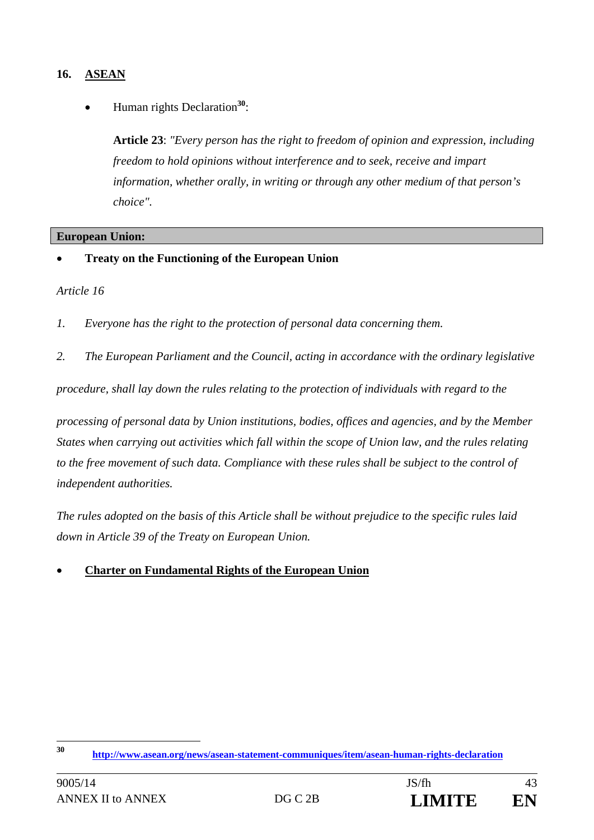# **16. ASEAN**

Human rights Declaration**<sup>30</sup>**:

**Article 23**: *"Every person has the right to freedom of opinion and expression, including freedom to hold opinions without interference and to seek, receive and impart information, whether orally, in writing or through any other medium of that person's choice".*

#### **European Union:**

**Treaty on the Functioning of the European Union** 

#### *Article 16*

- *1. Everyone has the right to the protection of personal data concerning them.*
- *2. The European Parliament and the Council, acting in accordance with the ordinary legislative*

*procedure, shall lay down the rules relating to the protection of individuals with regard to the* 

*processing of personal data by Union institutions, bodies, offices and agencies, and by the Member States when carrying out activities which fall within the scope of Union law, and the rules relating to the free movement of such data. Compliance with these rules shall be subject to the control of independent authorities.* 

*The rules adopted on the basis of this Article shall be without prejudice to the specific rules laid down in Article 39 of the Treaty on European Union.* 

#### **Charter on Fundamental Rights of the European Union**

<sup>30</sup> **<sup>30</sup> http://www.asean.org/news/asean-statement-communiques/item/asean-human-rights-declaration**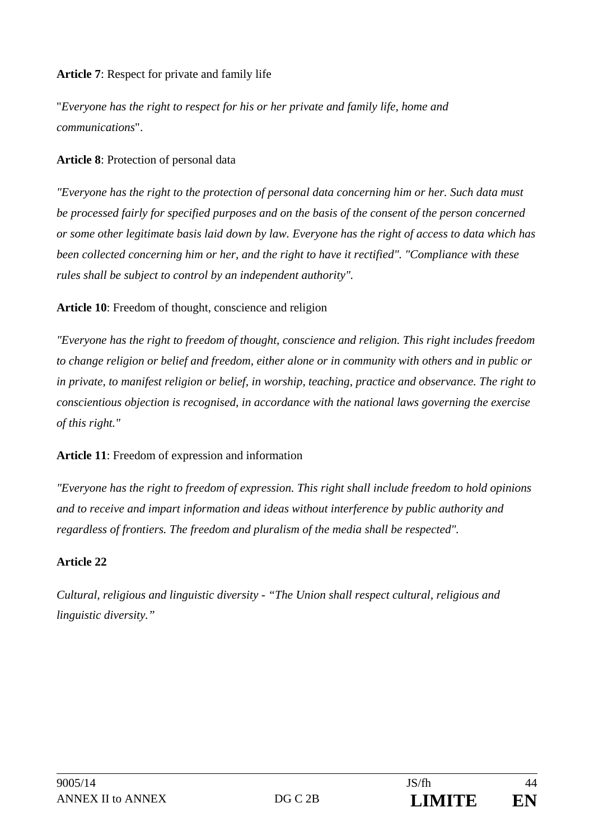#### **Article 7**: Respect for private and family life

"*Everyone has the right to respect for his or her private and family life, home and communications*".

#### **Article 8**: Protection of personal data

*"Everyone has the right to the protection of personal data concerning him or her. Such data must be processed fairly for specified purposes and on the basis of the consent of the person concerned or some other legitimate basis laid down by law. Everyone has the right of access to data which has been collected concerning him or her, and the right to have it rectified". "Compliance with these rules shall be subject to control by an independent authority".* 

#### **Article 10**: Freedom of thought, conscience and religion

*"Everyone has the right to freedom of thought, conscience and religion. This right includes freedom to change religion or belief and freedom, either alone or in community with others and in public or in private, to manifest religion or belief, in worship, teaching, practice and observance. The right to conscientious objection is recognised, in accordance with the national laws governing the exercise of this right."* 

#### **Article 11**: Freedom of expression and information

*"Everyone has the right to freedom of expression. This right shall include freedom to hold opinions and to receive and impart information and ideas without interference by public authority and regardless of frontiers. The freedom and pluralism of the media shall be respected".* 

#### **Article 22**

*Cultural, religious and linguistic diversity - "The Union shall respect cultural, religious and linguistic diversity."*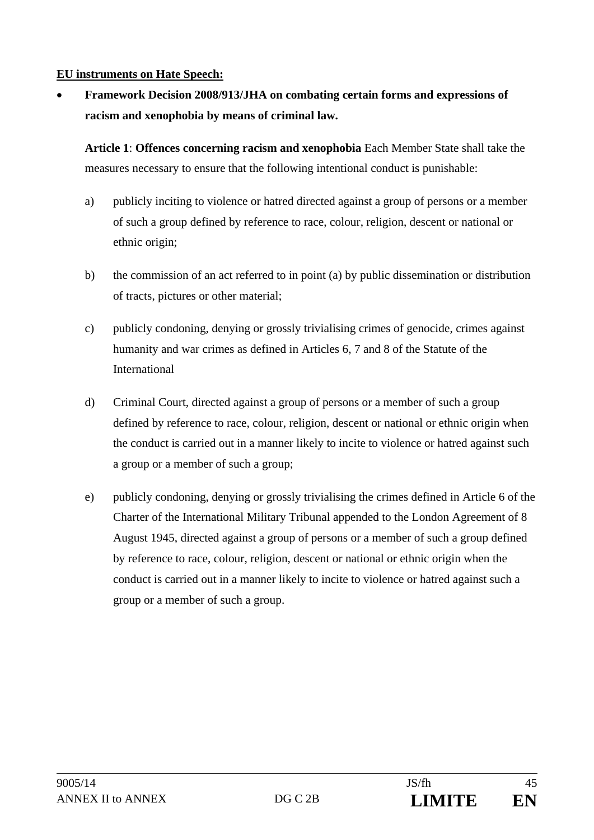#### **EU instruments on Hate Speech:**

 **Framework Decision 2008/913/JHA on combating certain forms and expressions of racism and xenophobia by means of criminal law.** 

**Article 1**: **Offences concerning racism and xenophobia** Each Member State shall take the measures necessary to ensure that the following intentional conduct is punishable:

- a) publicly inciting to violence or hatred directed against a group of persons or a member of such a group defined by reference to race, colour, religion, descent or national or ethnic origin;
- b) the commission of an act referred to in point (a) by public dissemination or distribution of tracts, pictures or other material;
- c) publicly condoning, denying or grossly trivialising crimes of genocide, crimes against humanity and war crimes as defined in Articles 6, 7 and 8 of the Statute of the International
- d) Criminal Court, directed against a group of persons or a member of such a group defined by reference to race, colour, religion, descent or national or ethnic origin when the conduct is carried out in a manner likely to incite to violence or hatred against such a group or a member of such a group;
- e) publicly condoning, denying or grossly trivialising the crimes defined in Article 6 of the Charter of the International Military Tribunal appended to the London Agreement of 8 August 1945, directed against a group of persons or a member of such a group defined by reference to race, colour, religion, descent or national or ethnic origin when the conduct is carried out in a manner likely to incite to violence or hatred against such a group or a member of such a group.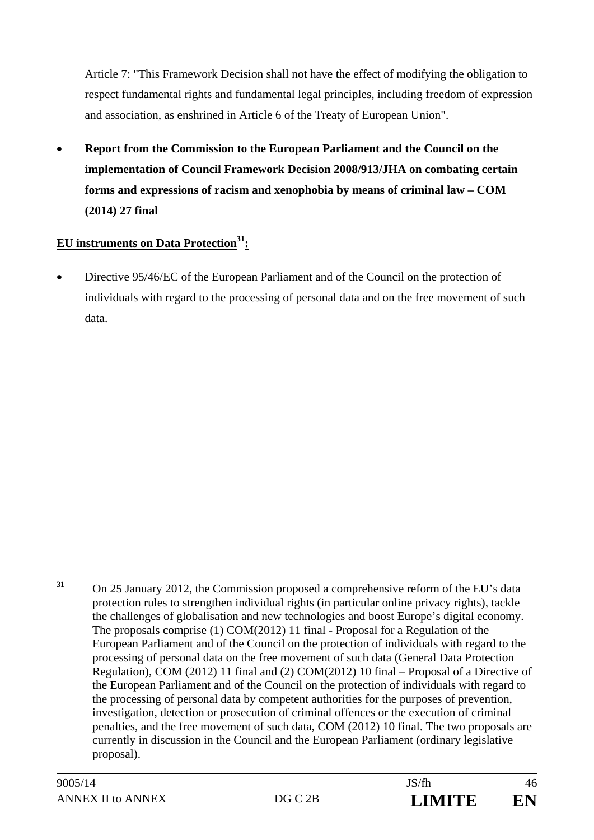Article 7: "This Framework Decision shall not have the effect of modifying the obligation to respect fundamental rights and fundamental legal principles, including freedom of expression and association, as enshrined in Article 6 of the Treaty of European Union".

 **Report from the Commission to the European Parliament and the Council on the implementation of Council Framework Decision 2008/913/JHA on combating certain forms and expressions of racism and xenophobia by means of criminal law – COM (2014) 27 final** 

# **EU** instruments on Data Protection<sup>31</sup>:

• Directive 95/46/EC of the European Parliament and of the Council on the protection of individuals with regard to the processing of personal data and on the free movement of such data.

 $31$ **<sup>31</sup>** On 25 January 2012, the Commission proposed a comprehensive reform of the EU's data protection rules to strengthen individual rights (in particular online privacy rights), tackle the challenges of globalisation and new technologies and boost Europe's digital economy. The proposals comprise (1) COM(2012) 11 final - Proposal for a Regulation of the European Parliament and of the Council on the protection of individuals with regard to the processing of personal data on the free movement of such data (General Data Protection Regulation), COM (2012) 11 final and (2) COM(2012) 10 final – Proposal of a Directive of the European Parliament and of the Council on the protection of individuals with regard to the processing of personal data by competent authorities for the purposes of prevention, investigation, detection or prosecution of criminal offences or the execution of criminal penalties, and the free movement of such data, COM (2012) 10 final. The two proposals are currently in discussion in the Council and the European Parliament (ordinary legislative proposal).